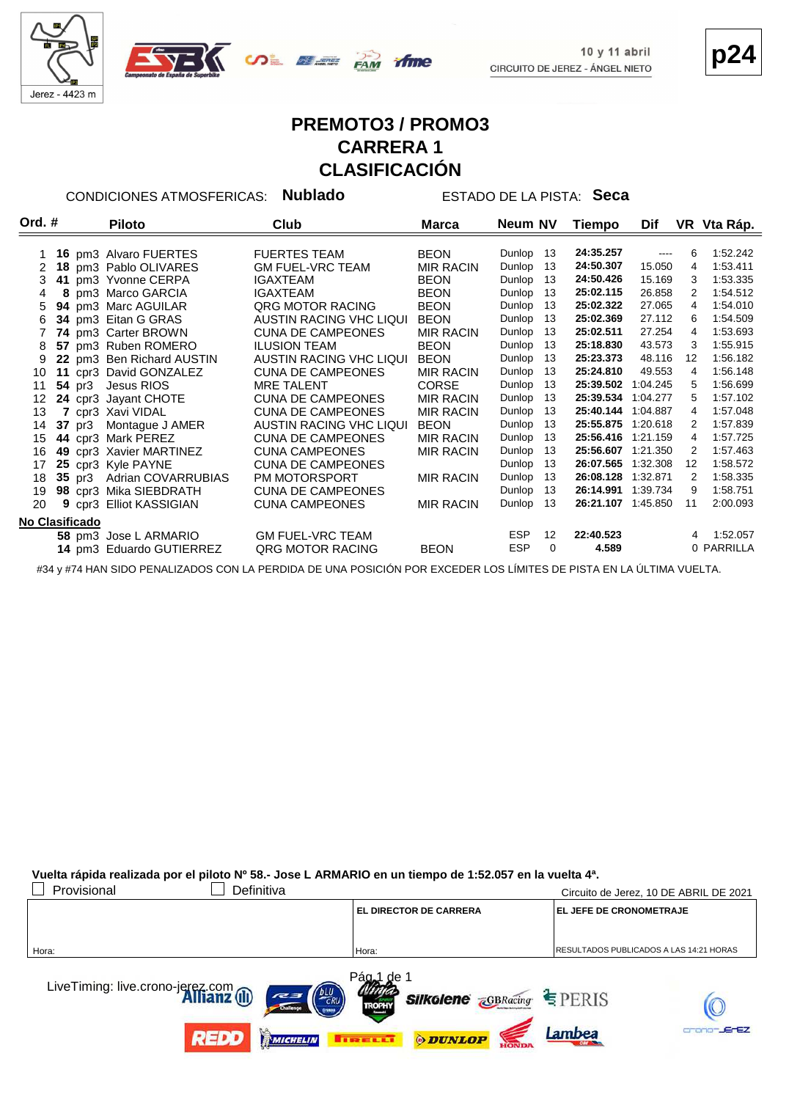



**p24**

## **PREMOTO3 / PROMO3 CARRERA 1 CLASIFICACIÓN**

CONDICIONES ATMOSFERICAS: **Nublado** ESTADO DE LA PISTA: **Seca**

| Ord. $#$       |  | <b>Piloto</b>             | Club                     | Marca            | Neum NV    |          | Tiempo             | Dif      |                   | VR Vta Ráp. |
|----------------|--|---------------------------|--------------------------|------------------|------------|----------|--------------------|----------|-------------------|-------------|
|                |  |                           |                          |                  |            |          |                    |          |                   |             |
|                |  | 16 pm3 Alvaro FUERTES     | <b>FUERTES TEAM</b>      | <b>BEON</b>      | Dunlop     | 13       | 24:35.257          | $\cdots$ | 6                 | 1:52.242    |
|                |  | 18 pm3 Pablo OLIVARES     | <b>GM FUEL-VRC TEAM</b>  | <b>MIR RACIN</b> | Dunlop     | 13       | 24:50.307          | 15.050   | 4                 | 1:53.411    |
| 3              |  | 41 pm3 Yvonne CERPA       | IGAXTEAM                 | <b>BEON</b>      | Dunlop     | 13       | 24:50.426          | 15.169   | 3                 | 1:53.335    |
| 4              |  | 8 pm3 Marco GARCIA        | <b>IGAXTEAM</b>          | <b>BEON</b>      | Dunlop     | 13       | 25:02.115          | 26.858   | 2                 | 1:54.512    |
| 5              |  | 94 pm3 Marc AGUILAR       | <b>QRG MOTOR RACING</b>  | <b>BEON</b>      | Dunlop     | 13       | 25:02.322          | 27.065   | 4                 | 1:54.010    |
| 6              |  | 34 pm3 Eitan G GRAS       | AUSTIN RACING VHC LIQUI  | <b>BEON</b>      | Dunlop     | 13       | 25:02.369          | 27.112   | 6                 | 1:54.509    |
|                |  | 74 pm3 Carter BROWN       | <b>CUNA DE CAMPEONES</b> | <b>MIR RACIN</b> | Dunlop     | 13       | 25:02.511          | 27.254   | 4                 | 1:53.693    |
| 8              |  | 57 pm3 Ruben ROMERO       | <b>ILUSION TEAM</b>      | <b>BEON</b>      | Dunlop     | 13       | 25:18.830          | 43.573   | 3                 | 1:55.915    |
| 9              |  | 22 pm3 Ben Richard AUSTIN | AUSTIN RACING VHC LIQUI  | <b>BEON</b>      | Dunlop     | 13       | 25:23.373          | 48.116   | $12 \overline{ }$ | 1:56.182    |
| 10             |  | 11 cpr3 David GONZALEZ    | <b>CUNA DE CAMPEONES</b> | <b>MIR RACIN</b> | Dunlop     | 13       | 25:24.810          | 49.553   | 4                 | 1:56.148    |
| 11             |  | 54 pr3 Jesus RIOS         | <b>MRE TALENT</b>        | <b>CORSE</b>     | Dunlop     | 13       | 25:39.502          | 1:04.245 | 5                 | 1:56.699    |
| 12             |  | 24 cpr3 Jayant CHOTE      | <b>CUNA DE CAMPEONES</b> | <b>MIR RACIN</b> | Dunlop     | 13       | 25:39.534 1:04.277 |          | 5                 | 1:57.102    |
| 13             |  | 7 cpr3 Xavi VIDAL         | <b>CUNA DE CAMPEONES</b> | <b>MIR RACIN</b> | Dunlop     | 13       | 25:40.144          | 1:04.887 | 4                 | 1:57.048    |
| 14             |  | 37 pr3 Montague J AMER    | AUSTIN RACING VHC LIQUI  | <b>BEON</b>      | Dunlop     | 13       | 25:55.875 1:20.618 |          | 2                 | 1:57.839    |
| 15             |  | 44 cpr3 Mark PEREZ        | <b>CUNA DE CAMPEONES</b> | <b>MIR RACIN</b> | Dunlop     | 13       | 25:56.416 1:21.159 |          | 4                 | 1:57.725    |
| 16             |  | 49 cpr3 Xavier MARTINEZ   | <b>CUNA CAMPEONES</b>    | <b>MIR RACIN</b> | Dunlop     | 13       | 25:56.607 1:21.350 |          | 2                 | 1:57.463    |
| 17             |  | 25 cpr3 Kyle PAYNE        | <b>CUNA DE CAMPEONES</b> |                  | Dunlop     | 13       | 26:07.565          | 1:32.308 | $12 \overline{ }$ | 1:58.572    |
| 18             |  | 35 pr3 Adrian COVARRUBIAS | PM MOTORSPORT            | <b>MIR RACIN</b> | Dunlop     | 13       | 26:08.128          | 1:32.871 | 2                 | 1:58.335    |
| 19             |  | 98 cpr3 Mika SIEBDRATH    | <b>CUNA DE CAMPEONES</b> |                  | Dunlop     | 13       | 26:14.991          | 1:39.734 | 9                 | 1:58.751    |
| 20             |  | 9 cpr3 Elliot KASSIGIAN   | <b>CUNA CAMPEONES</b>    | <b>MIR RACIN</b> | Dunlop     | 13       | 26:21.107 1:45.850 |          | 11                | 2:00.093    |
| No Clasificado |  |                           |                          |                  |            |          |                    |          |                   |             |
|                |  | 58 pm3 Jose L ARMARIO     | <b>GM FUEL-VRC TEAM</b>  |                  | <b>ESP</b> | 12       | 22:40.523          |          |                   | 4 1:52.057  |
|                |  | 14 pm3 Eduardo GUTIERREZ  | <b>QRG MOTOR RACING</b>  |                  | <b>ESP</b> | $\Omega$ | 4.589              |          |                   | 0 PARRILLA  |

#34 y #74 HAN SIDO PENALIZADOS CON LA PERDIDA DE UNA POSICIÓN POR EXCEDER LOS LÍMITES DE PISTA EN LA ÚLTIMA VUELTA.

**Vuelta rápida realizada por el piloto Nº 58.- Jose L ARMARIO en un tiempo de 1:52.057 en la vuelta 4ª.**

| Provisional<br>Definitiva                                                  |                                            | Circuito de Jerez, 10 DE ABRIL DE 2021         |
|----------------------------------------------------------------------------|--------------------------------------------|------------------------------------------------|
|                                                                            | <b>EL DIRECTOR DE CARRERA</b>              | <b>EL JEFE DE CRONOMETRAJE</b>                 |
|                                                                            |                                            |                                                |
| Hora:                                                                      | Hora:                                      | <b>RESULTADOS PUBLICADOS A LAS 14:21 HORAS</b> |
|                                                                            |                                            |                                                |
| LiveTiming: live.crono-jerez.com<br><b>Allianz</b> (III)<br>ERU<br>$z = 1$ | Pág <sub>a</sub> 1<br>∴de ∶                |                                                |
|                                                                            | <b>Silkolene GBRacing</b><br><b>TROPHY</b> | FERIS                                          |
|                                                                            |                                            | <b>JEFEZ</b><br>Lambea                         |
| <b>MICHELIN</b>                                                            | <b>ODUNLOP</b>                             |                                                |

HONDA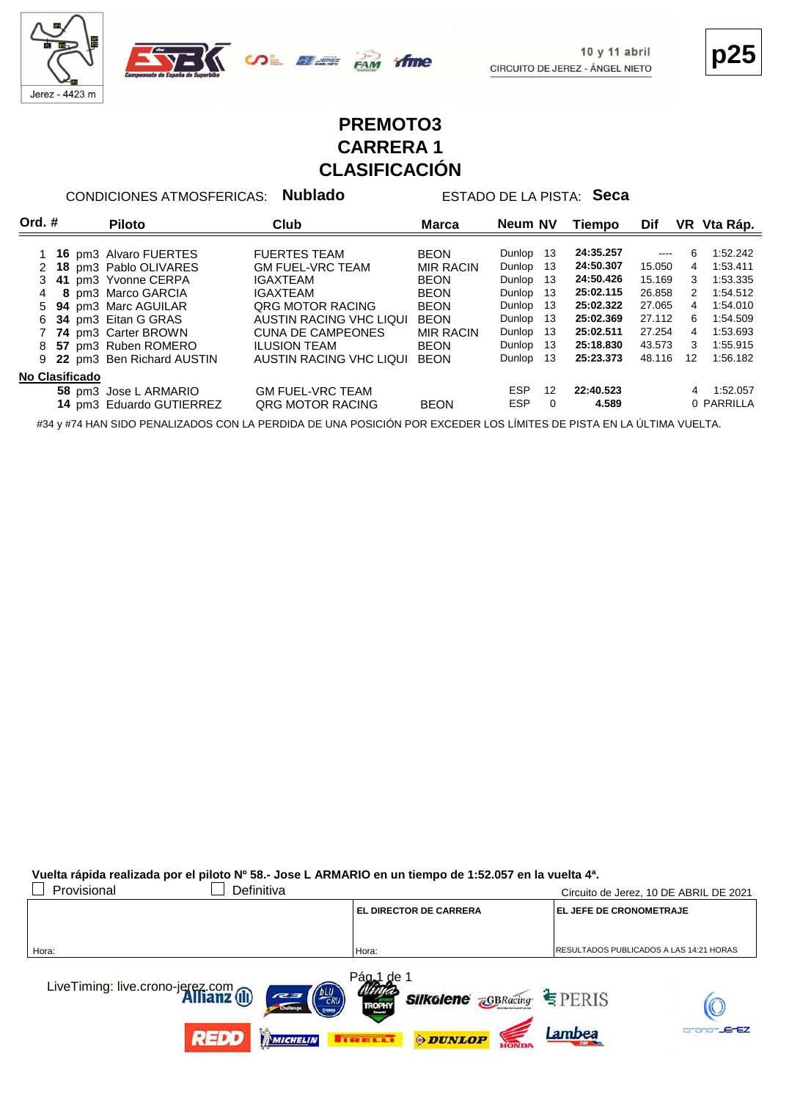



**p25**

#### **PREMOTO3 CARRERA 1 CLASIFICACIÓN**

CONDICIONES ATMOSFERICAS: **Nublado** ESTADO DE LA PISTA: **Seca**

| Ord. $#$       |  | <b>Piloto</b>             | Club                     | Marca            | Neum NV    |          | Tiempo    | Dif      |                | VR Vta Ráp. |
|----------------|--|---------------------------|--------------------------|------------------|------------|----------|-----------|----------|----------------|-------------|
|                |  | 1 16 pm3 Alvaro FUERTES   | <b>FUERTES TEAM</b>      | <b>BEON</b>      | Dunlop 13  |          | 24:35.257 | $\cdots$ | 6              | 1:52.242    |
|                |  | 2 18 pm3 Pablo OLIVARES   | <b>GM FUEL-VRC TEAM</b>  | <b>MIR RACIN</b> | Dunlop 13  |          | 24:50.307 | 15.050   | 4              | 1:53.411    |
|                |  | 3 41 pm3 Yvonne CERPA     | <b>IGAXTEAM</b>          | <b>BEON</b>      | Dunlop 13  |          | 24:50.426 | 15.169   | 3              | 1:53.335    |
|                |  | 8 pm3 Marco GARCIA        | IGAXTEAM                 | <b>BEON</b>      | Dunlop 13  |          | 25:02.115 | 26.858   | 2              | 1:54.512    |
|                |  | 5 94 pm3 Marc AGUILAR     | ORG MOTOR RACING         | <b>BEON</b>      | Dunlop 13  |          | 25:02.322 | 27.065   | $\overline{4}$ | 1:54.010    |
| 6.             |  | 34 pm3 Eitan G GRAS       | AUSTIN RACING VHC LIQUI  | <b>BEON</b>      | Dunlop 13  |          | 25:02.369 | 27.112   | 6              | 1:54.509    |
|                |  | 74 pm3 Carter BROWN       | <b>CUNA DE CAMPEONES</b> | <b>MIR RACIN</b> | Dunlop 13  |          | 25:02.511 | 27.254   | 4              | 1:53.693    |
| 8              |  | 57 pm3 Ruben ROMERO       | <b>ILUSION TEAM</b>      | <b>BEON</b>      | Dunlop 13  |          | 25:18.830 | 43.573   | 3              | 1:55.915    |
| 9              |  | 22 pm3 Ben Richard AUSTIN | AUSTIN RACING VHC LIQUI  | <b>BEON</b>      | Dunlop 13  |          | 25:23.373 | 48.116   | 12             | 1:56.182    |
| No Clasificado |  |                           |                          |                  |            |          |           |          |                |             |
|                |  | 58 pm3 Jose L ARMARIO     | <b>GM FUEL-VRC TEAM</b>  |                  | <b>ESP</b> | 12       | 22:40.523 |          | 4              | 1:52.057    |
|                |  | 14 pm3 Eduardo GUTIERREZ  | <b>QRG MOTOR RACING</b>  | <b>BEON</b>      | <b>ESP</b> | $\Omega$ | 4.589     |          |                | 0 PARRILLA  |

#34 y #74 HAN SIDO PENALIZADOS CON LA PERDIDA DE UNA POSICIÓN POR EXCEDER LOS LÍMITES DE PISTA EN LA ÚLTIMA VUELTA.

**Vuelta rápida realizada por el piloto Nº 58.- Jose L ARMARIO en un tiempo de 1:52.057 en la vuelta 4ª.**

| Provisional<br>Definitiva                                                    |                                                                                                   | Circuito de Jerez, 10 DE ABRIL DE 2021  |
|------------------------------------------------------------------------------|---------------------------------------------------------------------------------------------------|-----------------------------------------|
|                                                                              | <b>EL DIRECTOR DE CARRERA</b>                                                                     | <b>EL JEFE DE CRONOMETRAJE</b>          |
|                                                                              |                                                                                                   |                                         |
| Hora:                                                                        | Hora:                                                                                             | RESULTADOS PUBLICADOS A LAS 14:21 HORAS |
| LiveTiming: live.crono-jerez.com<br><b>Allianz</b> (II)<br><b>DLU</b><br>727 | Pága1<br>.de '<br><b>Silkolene <i><u>GBRacing</u> SILKOlene ZGBRacing SILKOLENE</i></b><br>TROPHY |                                         |
| <b>REDD</b><br>MICHELIN                                                      | <b>ODUNLOP</b><br><b>THE R.E.</b>                                                                 | -JErEZ<br>Lambea                        |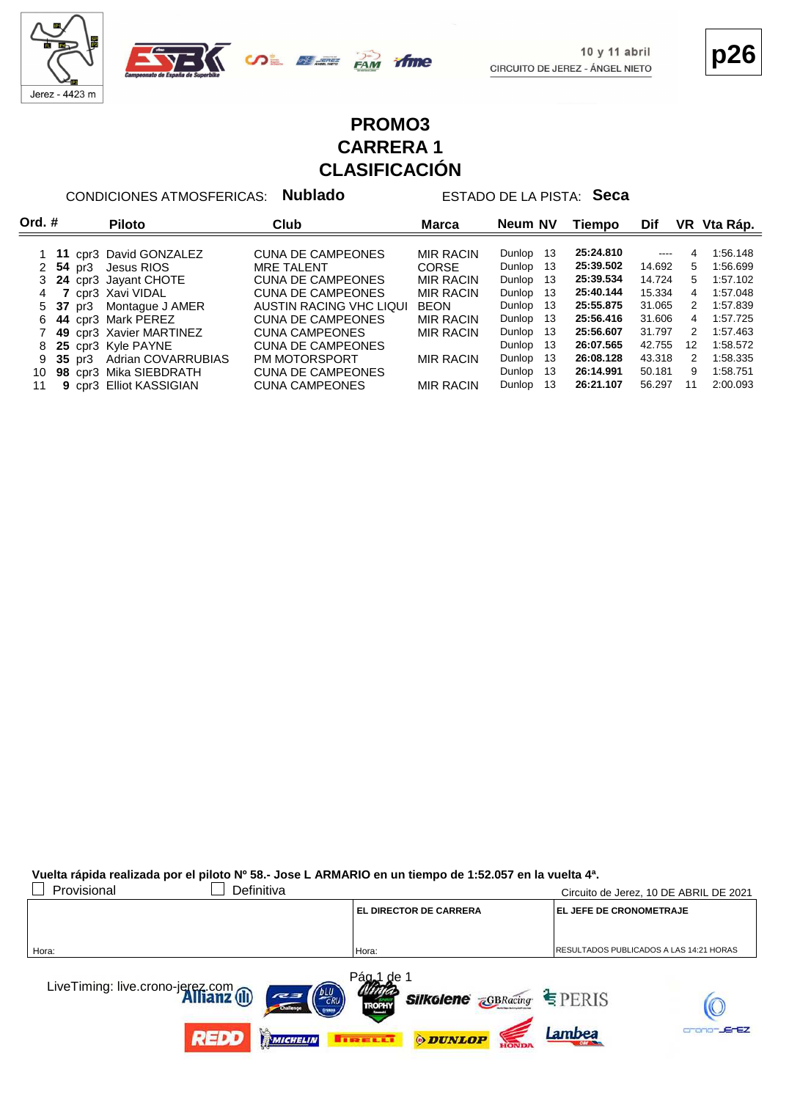



**p26**

#### **PROMO3 CARRERA 1 CLASIFICACIÓN**

ifme

CONDICIONES ATMOSFERICAS: **Nublado** ESTADO DE LA PISTA: **Seca**

|    | Ord. $#$ |                    | <b>Piloto</b>             | Club                     | Marca            | Neum NV       | Tiempo    | Dif           |               | VR Vta Ráp. |
|----|----------|--------------------|---------------------------|--------------------------|------------------|---------------|-----------|---------------|---------------|-------------|
|    |          |                    | 1 11 cpr3 David GONZALEZ  | <b>CUNA DE CAMPEONES</b> | <b>MIR RACIN</b> | Dunlop<br>-13 | 25:24.810 | $\frac{1}{2}$ | 4             | 1:56.148    |
|    |          | 2 $54 \text{ pr}3$ | Jesus RIOS                | <b>MRE TALENT</b>        | <b>CORSE</b>     | Dunlop<br>13  | 25:39.502 | 14.692        | 5.            | 1:56.699    |
|    |          |                    | 24 cpr3 Jayant CHOTE      | <b>CUNA DE CAMPEONES</b> | <b>MIR RACIN</b> | Dunlop<br>13  | 25:39.534 | 14.724        | 5             | 1:57.102    |
| 4  |          |                    | cpr3 Xavi VIDAL           | <b>CUNA DE CAMPEONES</b> | <b>MIR RACIN</b> | Dunlop<br>13  | 25:40.144 | 15.334        | 4             | 1:57.048    |
|    |          | 5 37 pr3           | Montague J AMER           | AUSTIN RACING VHC LIQUI  | <b>BEON</b>      | Dunlop<br>13  | 25:55.875 | 31.065        | $\mathcal{P}$ | 1:57.839    |
| 6. |          |                    | 44 cpr3 Mark PEREZ        | <b>CUNA DE CAMPEONES</b> | <b>MIR RACIN</b> | Dunlop<br>-13 | 25:56.416 | 31.606        | 4             | 1:57.725    |
|    |          |                    | 49 cpr3 Xavier MARTINEZ   | <b>CUNA CAMPEONES</b>    | <b>MIR RACIN</b> | 13<br>Dunlop  | 25:56.607 | 31.797        | 2             | 1:57.463    |
| 8  |          |                    | 25 cpr3 Kyle PAYNE        | <b>CUNA DE CAMPEONES</b> |                  | Dunlop<br>13  | 26:07.565 | 42.755        | 12            | 1:58.572    |
|    |          | $35 \text{ pr}3$   | <b>Adrian COVARRUBIAS</b> | PM MOTORSPORT            | <b>MIR RACIN</b> | Dunlop<br>13  | 26:08.128 | 43.318        | 2             | 1:58.335    |
| 10 |          |                    | 98 cpr3 Mika SIEBDRATH    | <b>CUNA DE CAMPEONES</b> |                  | Dunlop<br>13  | 26:14.991 | 50.181        | 9             | 1:58.751    |
| 11 |          |                    | 9 cpr3 Elliot KASSIGIAN   | <b>CUNA CAMPEONES</b>    | <b>MIR RACIN</b> | Dunlop<br>13  | 26:21.107 | 56.297        | 11            | 2:00.093    |

#### **Vuelta rápida realizada por el piloto Nº 58.- Jose L ARMARIO en un tiempo de 1:52.057 en la vuelta 4ª.**

| Provisional<br>Definitiva                                                                        |                                                                                                                                                        | Circuito de Jerez, 10 DE ABRIL DE 2021          |
|--------------------------------------------------------------------------------------------------|--------------------------------------------------------------------------------------------------------------------------------------------------------|-------------------------------------------------|
|                                                                                                  | <b>EL DIRECTOR DE CARRERA</b>                                                                                                                          | <b>EL JEFE DE CRONOMETRAJE</b>                  |
|                                                                                                  |                                                                                                                                                        |                                                 |
| Hora:                                                                                            | Hora:                                                                                                                                                  | <b>IRESULTADOS PUBLICADOS A LAS 14:21 HORAS</b> |
| LiveTiming: live.crono-jerez.com<br><b>Allianz</b> (II)<br>ERU<br>727<br><b>REDD</b><br>MICHELIN | Pág <sub>o</sub> 1<br>∴de ∆<br><b>Silkolene <i><u>GBRacing</u> SIIKolene ZGBRacing SIIKO</i></b><br><b>TROPHY</b><br><b>ODUNLOP</b><br><b>THEFT.ET</b> | -JErEZ<br>Lambea                                |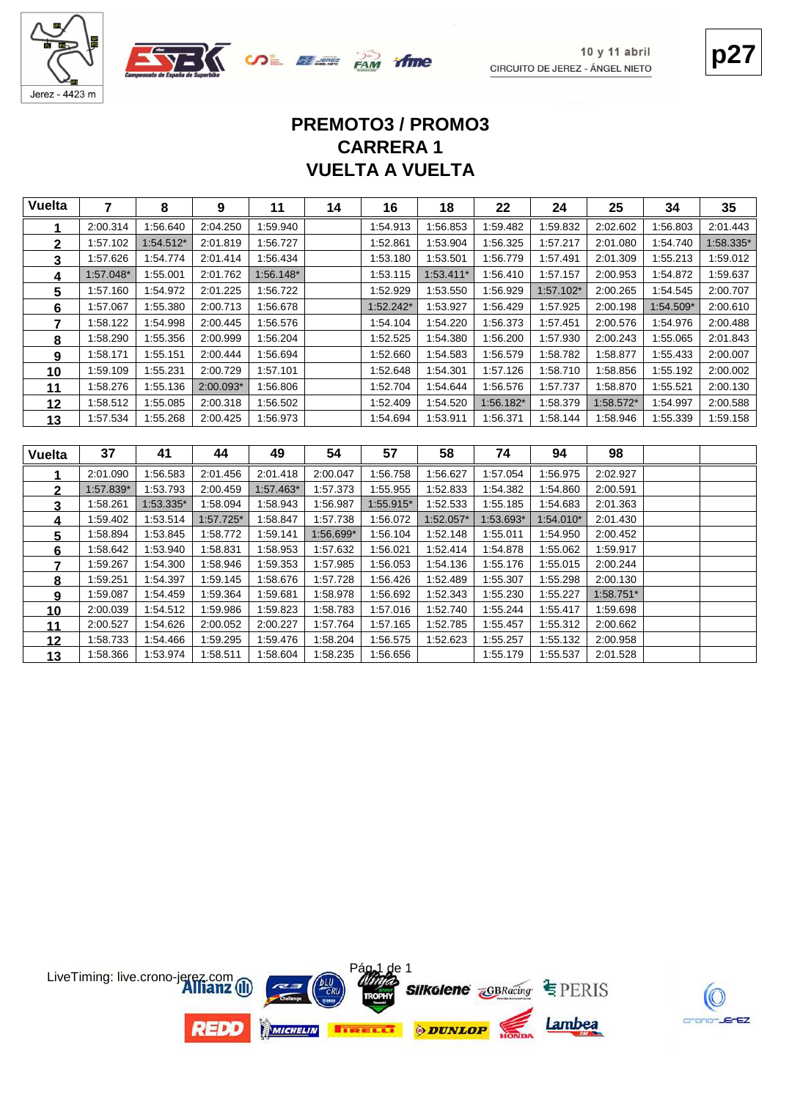



# **p27**

## **VUELTA A VUELTA CARRERA 1 PREMOTO3 / PROMO3**

| <b>Vuelta</b>  | $\overline{7}$       | 8                    | 9                    | 11                   | 14                   | 16                   | 18          | 22                   | 24                   | 25                   | 34        | 35        |
|----------------|----------------------|----------------------|----------------------|----------------------|----------------------|----------------------|-------------|----------------------|----------------------|----------------------|-----------|-----------|
| 1              | 2:00.314             | 1:56.640             | 2:04.250             | 1:59.940             |                      | 1:54.913             | 1:56.853    | 1:59.482             | 1:59.832             | 2:02.602             | 1:56.803  | 2:01.443  |
| $\mathbf 2$    | 1:57.102             | 1:54.512*            | 2:01.819             | 1:56.727             |                      | 1:52.861             | 1:53.904    | 1:56.325             | 1:57.217             | 2:01.080             | 1:54.740  | 1:58.335* |
| 3              | 1:57.626             | 1:54.774             | 2:01.414             | 1:56.434             |                      | 1:53.180             | 1:53.501    | 1:56.779             | 1:57.491             | 2:01.309             | 1:55.213  | 1:59.012  |
| 4              | 1:57.048*            | 1:55.001             | 2:01.762             | 1:56.148*            |                      | 1:53.115             | 1:53.411*   | 1:56.410             | 1:57.157             | 2:00.953             | 1:54.872  | 1:59.637  |
| 5              | 1:57.160             | 1:54.972             | 2:01.225             | 1:56.722             |                      | 1:52.929             | 1:53.550    | 1:56.929             | 1:57.102*            | 2:00.265             | 1:54.545  | 2:00.707  |
| 6              | 1:57.067             | 1:55.380             | 2:00.713             | 1:56.678             |                      | $1:52.242*$          | 1:53.927    | 1:56.429             | 1:57.925             | 2:00.198             | 1:54.509* | 2:00.610  |
| $\overline{7}$ | 1:58.122             | 1:54.998             | 2:00.445             | 1:56.576             |                      | 1:54.104             | 1:54.220    | 1:56.373             | 1:57.451             | 2:00.576             | 1:54.976  | 2:00.488  |
| 8              | 1:58.290             | 1:55.356             | 2:00.999             | 1:56.204             |                      | 1:52.525             | 1:54.380    | 1:56.200             | 1:57.930             | 2:00.243             | 1:55.065  | 2:01.843  |
| 9              | 1:58.171             | 1:55.151             | 2:00.444             | 1:56.694             |                      | 1:52.660             | 1:54.583    | 1:56.579             | 1:58.782             | 1:58.877             | 1:55.433  | 2:00.007  |
| 10             | 1:59.109             | 1:55.231             | 2:00.729             | 1:57.101             |                      | 1:52.648             | 1:54.301    | 1:57.126             | 1:58.710             | 1:58.856             | 1:55.192  | 2:00.002  |
| 11             | 1:58.276             | 1:55.136             | 2:00.093*            | 1:56.806             |                      | 1:52.704             | 1:54.644    | 1:56.576             | 1:57.737             | 1:58.870             | 1:55.521  | 2:00.130  |
| 12             | 1:58.512             | 1:55.085             | 2:00.318             | 1:56.502             |                      | 1:52.409             | 1:54.520    | 1:56.182*            | 1:58.379             | 1:58.572*            | 1:54.997  | 2:00.588  |
| 13             | 1:57.534             | 1:55.268             | 2:00.425             | 1:56.973             |                      | 1:54.694             | 1:53.911    | 1:56.371             | 1:58.144             | 1.58.946             | 1:55.339  | 1:59.158  |
|                |                      |                      |                      |                      |                      |                      |             |                      |                      |                      |           |           |
|                |                      |                      |                      |                      |                      |                      |             |                      |                      |                      |           |           |
| <b>Vuelta</b>  | 37                   | 41                   | 44                   | 49                   | 54                   | 57                   | 58          | 74                   | 94                   | 98                   |           |           |
| 1              | 2:01.090             | 1:56.583             | 2:01.456             | 2:01.418             | 2:00.047             | 1:56.758             | 1:56.627    | 1:57.054             | 1:56.975             | 2:02.927             |           |           |
| $\overline{2}$ | 1:57.839*            | 1:53.793             | 2:00.459             | 1:57.463*            | 1:57.373             | 1:55.955             | 1:52.833    | 1:54.382             | 1:54.860             | 2:00.591             |           |           |
| 3              | 1:58.261             | 1:53.335*            | 1:58.094             | 1:58.943             | 1:56.987             | 1:55.915*            | 1:52.533    | 1:55.185             | 1:54.683             | 2:01.363             |           |           |
| 4              | 1:59.402             | 1:53.514             | $1:57.725*$          | 1:58.847             | 1:57.738             | 1:56.072             | $1:52.057*$ | 1:53.693*            | 1:54.010*            | 2:01.430             |           |           |
| 5              | 1:58.894             | 1:53.845             | 1:58.772             | 1:59.141             | 1:56.699*            | 1:56.104             | 1:52.148    | 1:55.011             | 1:54.950             | 2:00.452             |           |           |
| 6              | 1:58.642             | 1:53.940             | 1:58.831             | 1:58.953             | 1:57.632             | 1:56.021             | 1:52.414    | 1:54.878             | 1:55.062             | 1:59.917             |           |           |
| 7              | 1:59.267             | 1:54.300             | 1:58.946             | 1:59.353             | 1:57.985             | 1:56.053             | 1:54.136    | 1:55.176             | 1:55.015             | 2:00.244             |           |           |
| 8              | 1:59.251             | 1:54.397             | 1:59.145             | 1:58.676             | 1:57.728             | 1:56.426             | 1:52.489    | 1:55.307             | 1:55.298             | 2:00.130             |           |           |
| 9              | 1:59.087             | 1:54.459             | 1:59.364             | 1:59.681             | 1:58.978             | 1:56.692             | 1:52.343    | 1:55.230             | 1:55.227             | 1:58.751*            |           |           |
| 10             | 2:00.039             | 1:54.512             | 1:59.986             | 1:59.823             | 1:58.783             | 1:57.016             | 1:52.740    | 1:55.244             | 1:55.417             | 1.59.698             |           |           |
| 11             | 2:00.527             | 1:54.626             | 2:00.052             | 2:00.227             | 1:57.764             | 1:57.165             | 1:52.785    | 1:55.457             | 1:55.312             | 2:00.662             |           |           |
| 12             | 1:58.733<br>1:58.366 | 1:54.466<br>1:53.974 | 1:59.295<br>1:58.511 | 1:59.476<br>1:58.604 | 1:58.204<br>1:58.235 | 1:56.575<br>1:56.656 | 1:52.623    | 1:55.257<br>1:55.179 | 1:55.132<br>1:55.537 | 2:00.958<br>2:01.528 |           |           |

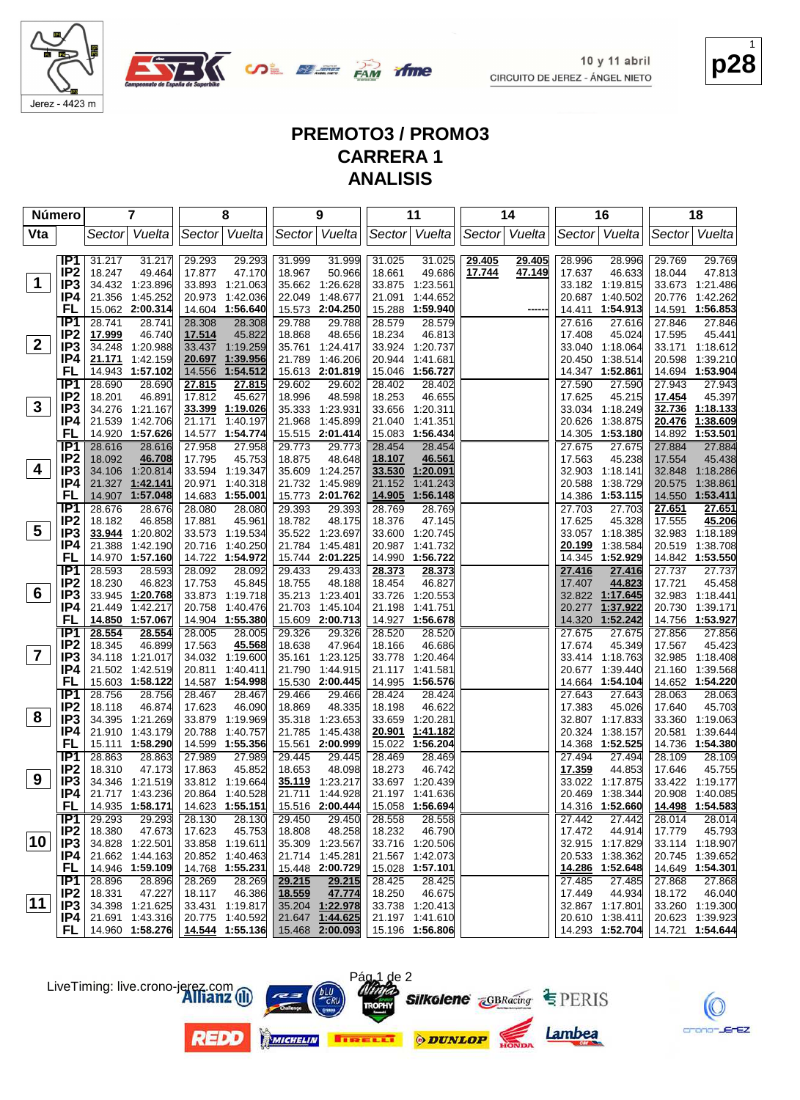

**COL BLE FAM** 

**p28** 1

#### **PREMOTO3 / PROMO3 CARRERA 1 ANALISIS**

ifme

| Número          |                          | 7                                    | 8                                    | 9                                    | 11                                       | 14                                   | 16                                   | 18                                   |
|-----------------|--------------------------|--------------------------------------|--------------------------------------|--------------------------------------|------------------------------------------|--------------------------------------|--------------------------------------|--------------------------------------|
| Vta             |                          | Sector Vuelta                        | Sector Vuelta                        | Sector Vuelta                        | Sector   Vuelta                          | Sector Vuelta                        | Sector Vuelta                        | Vuelta<br>Sector                     |
|                 |                          |                                      |                                      |                                      |                                          |                                      |                                      |                                      |
|                 | IP1 I<br>IP <sub>2</sub> | 31.217<br>31.217<br>18.247<br>49.464 | 29.293<br>29.293<br>17.877<br>47.170 | 31.999<br>31.999<br>50.966<br>18.967 | 31.025<br>31.025<br>49.686<br>18.661     | 29.405<br>29.405<br>17.744<br>47.149 | 28.996<br>28.996<br>17.637<br>46.633 | 29.769<br>29.769<br>18.044<br>47.813 |
| $\mathbf 1$     | IP <sub>3</sub>          | 34.432 1:23.896                      | 33.893 1:21.063                      | 35.662 1:26.628                      | 1:23.561<br>33.875                       |                                      | 33.182 1:19.815                      | 33.673 1:21.486                      |
|                 | IP4                      | 21.356 1:45.252                      | 20.973 1:42.036                      | 22.049<br>1:48.677                   | 21.091<br>1:44.652                       |                                      | 20.687 1:40.502                      | 1:42.262<br>20.776                   |
|                 | FL                       | 15.062 2:00.314                      | 14.604 1:56.640                      | 15.573 2:04.250                      | 15.288<br>1:59.940                       |                                      | 14.411<br>1:54.913                   | 14.591 1:56.853                      |
|                 | IP <sub>1</sub>          | 28.741<br>28.741                     | 28.308<br>28.308                     | 29.788<br>29.788                     | 28.579<br>28.579                         |                                      | 27.616<br>27.616                     | 27.846<br>27.846                     |
|                 | IP <sub>2</sub>          | 46.740<br>17.999                     | 17.514<br>45.822                     | 48.656<br>18.868                     | 18.234<br>46.813                         |                                      | 17.408<br>45.024                     | 17.595<br>45.441                     |
| $\mathbf{2}$    | IP <sub>3</sub>          | 34.248 1:20.988                      | 33.437 1:19.259                      | 35.761 1:24.417                      | 33.924<br>1:20.737                       |                                      | 33.040 1:18.064                      | 33.171 1:18.612                      |
|                 | IP4                      | 21.171<br>1:42.159                   | 20.697 1:39.956                      | 21.789<br>1:46.206                   | 20.944<br>1:41.681                       |                                      | 20.450<br>1:38.514                   | 20.598<br>1:39.210                   |
|                 | <b>FL</b>                | 14.943 1:57.102                      | 14.556<br>1:54.512                   | 15.613 2:01.819                      | 15.046<br>1:56.727                       |                                      | 14.347 1:52.861                      | 14.694 1:53.904                      |
|                 | IP1                      | 28.690<br>28.690                     | 27.815<br>27.815                     | 29.602<br>29.602                     | 28.402<br>28.402                         |                                      | 27.590<br>27.590                     | 27.943<br>27.943                     |
|                 | IP <sub>2</sub>          | 18.201<br>46.891                     | 17.812<br>45.627                     | 18.996<br>48.598                     | 18.253<br>46.655                         |                                      | 17.625<br>45.215                     | 17.454<br>45.397                     |
| $\mathbf{3}$    | IP <sub>3</sub>          | 34.276 1:21.167                      | 33.399 1:19.026                      | 35.333 1:23.931                      | 33.656<br>1:20.311                       |                                      | 33.034 1:18.249                      | 1:18.133<br>32.736                   |
|                 | IP4                      | 21.539 1:42.706                      | 1:40.197<br>21.171                   | 21.968<br>1:45.899                   | 21.040<br>1:41.351                       |                                      | 20.626<br>1:38.875                   | 20.476<br>1:38.609                   |
|                 | FL                       | 14.920 1:57.626                      | 14.577 1:54.774                      | 15.515 2:01.414                      | 15.083<br>1:56.434                       |                                      | 14.305 1:53.180                      | 1:53.501<br>14.892                   |
|                 | IP1                      | 28.616<br>28.616                     | 27.958<br>27.958                     | 29.773<br>29.773                     | 28.454<br>28.454                         |                                      | 27.675<br>27.675                     | 27.884<br>27.884                     |
|                 | IP <sub>2</sub>          | 18.092<br>46.708                     | 17.795<br>45.753                     | 48.648<br>18.875                     | 46.561<br>18.107                         |                                      | 17.563<br>45.238                     | 17.554<br>45.438                     |
| 4               | IP <sub>3</sub>          | 34.106 1:20.814                      | 33.594 1:19.347                      | 35.609 1:24.257                      | 33.530<br>1:20.091                       |                                      | 32.903 1:18.141                      | 32.848 1:18.286                      |
|                 | IP4                      | 21.327 1:42.141                      | 20.971 1:40.318                      | 21.732 1:45.989                      | 21.152<br>1:41.243                       |                                      | 20.588<br>1:38.729                   | 1:38.861<br>20.575                   |
|                 | FL                       | 14.907 1:57.048                      | 14.683 1:55.001                      | 15.773 2:01.762                      | 14.905<br>1:56.148                       |                                      | 14.386 1:53.115                      | 14.550 1:53.411                      |
|                 | IP <sub>1</sub>          | 28.676<br>28.676                     | 28.080<br>28.080                     | 29.393<br>29.393                     | 28.769<br>28.769                         |                                      | 27.703<br>27.703                     | 27.651<br>27.651                     |
|                 | IP <sub>2</sub>          | 18.182<br>46.858                     | 17.881<br>45.961                     | 48.175<br>18.782                     | 18.376<br>47.145                         |                                      | 17.625<br>45.328                     | 45.206<br>17.555                     |
| $5\overline{)}$ | IP3                      | 33.944 1:20.802                      | 33.573 1:19.534                      | 35.522 1:23.697                      | 33.600<br>1:20.745                       |                                      | 33.057 1:18.385                      | 32.983 1:18.189                      |
|                 | IP4                      | 21.388<br>1:42.190                   | 20.716 1:40.250                      | 21.784 1:45.481                      | 20.987<br>1:41.732                       |                                      | 20.199<br>1:38.584                   | 20.519 1:38.708                      |
|                 | FL                       | 14.970 1:57.160                      | 14.722 1:54.972                      | 15.744 2:01.225                      | 1:56.722<br>14.990                       |                                      | 14.345 1:52.929                      | 14.842 1:53.550                      |
|                 | IP1                      | 28.593<br>28.593                     | 28.092<br>28.092                     | 29.433<br>29.433                     | 28.373<br>28.373                         |                                      | 27.416<br>27.416                     | 27.737<br>27.737                     |
| 6               | IP <sub>2</sub>          | 18.230<br>46.823                     | 17.753<br>45.845                     | 48.188<br>18.755                     | 18.454<br>46.827                         |                                      | 17.407<br>44.823<br>32.822 1:17.645  | 17.721<br>45.458                     |
|                 | IP <sub>3</sub><br>IP4   | 33.945 1:20.768<br>21.449 1:42.217   | 33.873 1:19.718<br>20.758 1:40.476   | 35.213 1:23.401<br>21.703 1:45.104   | 33.726<br>1:20.553<br>21.198<br>1:41.751 |                                      | 20.277<br>1:37.922                   | 32.983 1:18.441<br>20.730 1:39.171   |
|                 | FL                       | 14.850 1:57.067                      | 14.904 1:55.380                      | 15.609 2:00.713                      | 14.927 1:56.678                          |                                      | 14.320<br>1:52.242                   | 14.756 1:53.927                      |
|                 | IP1                      | 28.554<br>28.554                     | 28.005<br>28.005                     | 29.326<br>29.326                     | 28.520<br>28.520                         |                                      | 27.675<br>27.675                     | 27.856<br>27.856                     |
|                 | IP <sub>2</sub>          | 18.345<br>46.899                     | 17.563<br>45.568                     | 47.964<br>18.638                     | 18.166<br>46.686                         |                                      | 17.674<br>45.349                     | 17.567<br>45.423                     |
| $\overline{7}$  | IP <sub>3</sub>          | 34.118 1:21.017                      | 34.032 1:19.600                      | 35.161 1:23.125                      | 33.778<br>1:20.464                       |                                      | 33.414 1:18.763                      | 32.985 1:18.408                      |
|                 | IP4                      | 21.502 1:42.519                      | 20.811 1:40.411                      | 21.790 1:44.915                      | 21.117 1:41.581                          |                                      | 20.677 1:39.440                      | 21.160 1:39.568                      |
|                 | FL                       | 15.603 1:58.122                      | 14.587 1:54.998                      | 15.530 2:00.445                      | 14.995<br>1:56.576                       |                                      | 14.664 1:54.104                      | 14.652 1:54.220                      |
|                 | IP1                      | 28.756<br>28.756                     | 28.467<br>28.467                     | 29.466<br>29.466                     | 28.424<br>28.424                         |                                      | 27.643<br>27.643                     | 28.063<br>28.063                     |
|                 | IP <sub>2</sub>          | 18.118<br>46.874                     | 46.090<br>17.623                     | 48.335<br>18.869                     | 18.198<br>46.622                         |                                      | 17.383<br>45.026                     | 17.640<br>45.703                     |
| 8               | IP <sub>3</sub>          | 34.395 1:21.269                      | 33.879 1:19.969                      | 35.318<br>1:23.653                   | 33.659<br>1:20.281                       |                                      | 32.807 1:17.833                      | 33.360 1:19.063                      |
|                 | IP4                      | 21.910<br>1:43.179                   | 20.788<br>1:40.757                   | 21.785 1:45.438                      | 20.901<br>1:41.182                       |                                      | 20.324<br>1:38.157                   | 20.581<br>1:39.644                   |
|                 | FL                       | 15.111 1:58.290                      | 14.599 1:55.356                      | 15.561 2:00.999                      | 15.022<br>1:56.204                       |                                      | 14.368 1:52.525                      | 14.736 1:54.380                      |
|                 | IP <sub>1</sub>          | 28.863<br>28.863                     | 27.989<br>27.989                     | 29.445<br>29.445                     | 28.469<br>28.469                         |                                      | 27.494<br>27.494                     | 28.109<br>28.109                     |
|                 | IP <sub>2</sub>          | 18.310<br>47.173                     | 17.863<br>45.852                     | 18.653<br>48.098                     | 18.273<br>46.742                         |                                      | 17.359<br>44.853                     | 17.646<br>45.755                     |
| 9               | IP3                      | 34.346 1:21.519                      | 33.812 1:19.664                      | 35.119 1:23.217                      | 33.697 1:20.439                          |                                      | 33.022 1:17.875                      | 33.422 1:19.177                      |
|                 | IP4                      | 21.717 1:43.236                      | 20.864 1:40.528                      | 21.711 1:44.928                      | 21.197 1:41.636                          |                                      | 20.469 1:38.344                      | 20.908 1:40.085                      |
|                 | FL.                      | 14.935 1:58.171                      | 14.623 1:55.151                      | 15.516 2:00.444                      | 15.058 1:56.694                          |                                      | 14.316 1:52.660                      | 14.498 1:54.583                      |
|                 | IP1                      | 29.293<br>29.293                     | 28.130<br>28.130                     | 29.450<br>29.450                     | 28.558<br>28.558                         |                                      | 27.442<br>27.442                     | 28.014<br>28.014                     |
| 10              | IP <sub>2</sub>          | 18.380<br>47.673                     | 17.623<br>45.753                     | 18.808<br>48.258                     | 18.232<br>46.790                         |                                      | 17.472<br>44.914                     | 17.779<br>45.793                     |
|                 | IP3                      | 34.828 1:22.501                      | 33.858 1:19.611                      | 35.309 1:23.567                      | 33.716 1:20.506                          |                                      | 32.915 1:17.829                      | 33.114 1:18.907                      |
|                 | IP4 I                    | 21.662 1:44.163                      | 20.852 1:40.463                      | 21.714 1:45.281                      | 21.567 1:42.073                          |                                      | 20.533 1:38.362                      | 20.745 1:39.652                      |
|                 | FL.<br>IP1               | 14.946 1:59.109<br>28.896<br>28.896  | 14.768 1:55.231<br>28.269<br>28.269  | 15.448 2:00.729<br>29.215<br>29.215  | 15.028 1:57.101<br>28.425<br>28.425      |                                      | 14.286 1:52.648<br>27.485<br>27.485  | 14.649 1:54.301<br>27.868<br>27.868  |
|                 | IP <sub>2</sub>          | 18.331<br>47.227                     | 18.117<br>46.386                     | 47.774<br>18.559                     | 18.250<br>46.675                         |                                      | 17.449<br>44.934                     | 18.172<br>46.040                     |
| $ 11\rangle$    | IP3                      | 34.398 1:21.625                      | 33.431 1:19.817                      | 35.204 1:22.978                      | 33.738 1:20.413                          |                                      | 32.867 1:17.801                      | 33.260 1:19.300                      |
|                 | IP4.                     | 21.691 1:43.316                      | 20.775 1:40.592                      | 21.647 1:44.625                      | 21.197 1:41.610                          |                                      | 20.610 1:38.411                      | 20.623 1:39.923                      |
|                 | FL I                     | 14.960 1:58.276                      | 14.544 1:55.136                      | 15.468 2:00.093                      | 15.196 1:56.806                          |                                      | 14.293 1:52.704                      | 14.721 1:54.644                      |
|                 |                          |                                      |                                      |                                      |                                          |                                      |                                      |                                      |

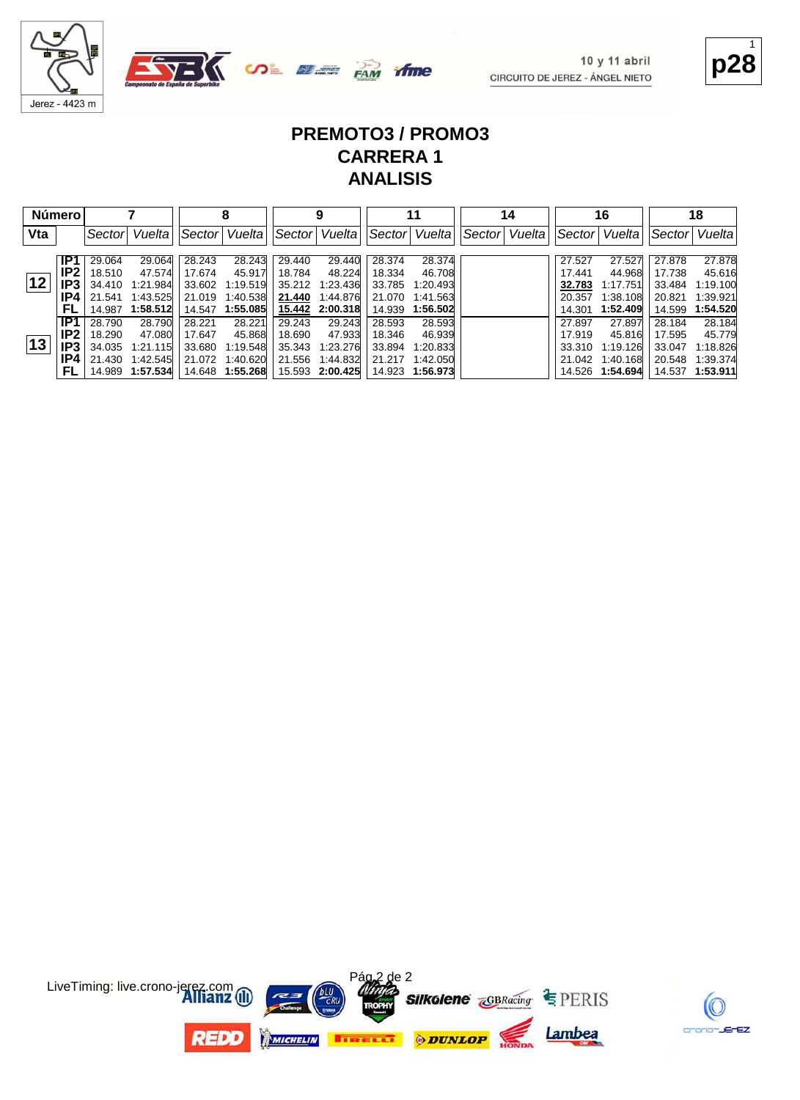



**p28** 1

#### **PREMOTO3 / PROMO3 CARRERA 1 ANALISIS**

time

| Número |      |        |                  |         |                 |        | 9               |        | 11              |        | 14     |        | 16              |        | 18              |
|--------|------|--------|------------------|---------|-----------------|--------|-----------------|--------|-----------------|--------|--------|--------|-----------------|--------|-----------------|
| Vta    |      | Sector | Vuelta           | ∣Sector | Vuelta          | Sector | Vuelta          | Sector | Vuelta          | Sector | Vuelta | Sector | Vuelta          | Sector | Vuelta          |
|        |      |        |                  |         |                 |        |                 |        |                 |        |        |        |                 |        |                 |
|        | IP1  | 29.064 | 29.064           | 28.243  | 28.243          | 29.440 | 29.440          | 28.374 | 28.374          |        |        | 27.527 | 27.527          | 27.878 | 27.878          |
|        | IP2. | 18.510 | 47.574           | 17.674  | 45.917          | 18.784 | 48.224          | 18.334 | 46.708          |        |        | 17.441 | 44.968          | 17.738 | 45.616          |
| 12     | IP3  | 34.410 | 1:21.984         | 33.602  | 1:19.519        | 35.212 | 1:23.436        | 33.785 | 1:20.493        |        |        | 32.783 | 1:17.751        | 33.484 | 1:19.100        |
|        | IP4  | 21.541 | 1:43.525         | 21.019  | 1:40.538        | 21.440 | 1:44.876        | 21.070 | 1:41.563        |        |        | 20.357 | 1:38.108        | 20.821 | 1:39.921        |
|        | FL   | 14.987 | 1:58.512         | 14.547  | 1:55.085        |        | 15.442 2:00.318 | 14.939 | 1:56.502        |        |        | 14.301 | 1:52.409        | 14.599 | 1:54.520        |
|        | IP1  | 28.790 | 28.790           | 28.221  | 28.221          | 29.243 | 29.243          | 28.593 | 28.593          |        |        | 27.897 | 27.897          | 28.184 | 28.184          |
|        | IP2. | 18.290 | 47.080           | 17.647  | 45.868          | 18.690 | 47.933          | 18.346 | 46.939          |        |        | 17.919 | 45.816          | 17.595 | 45.779          |
| 13     | IP3  | 34.035 | 1:21.115         | 33.680  | 1:19.548        | 35.343 | 1.23.276        | 33.894 | 1.20.833        |        |        | 33.310 | 1:19.126        | 33.047 | 1:18.826        |
|        | IP4  | 21.430 | 1:42.545         |         | 21.072 1:40.620 | 21.556 | 1:44.832        | 21.217 | 1:42.050        |        |        | 21.042 | 1:40.168        | 20.548 | 1:39.374        |
|        | FL   |        | 14.989  1:57.534 |         |                 |        | 15.593 2:00.425 |        | 14.923 1:56.973 |        |        |        | 14.526 1:54.694 |        | 14.537 1:53.911 |



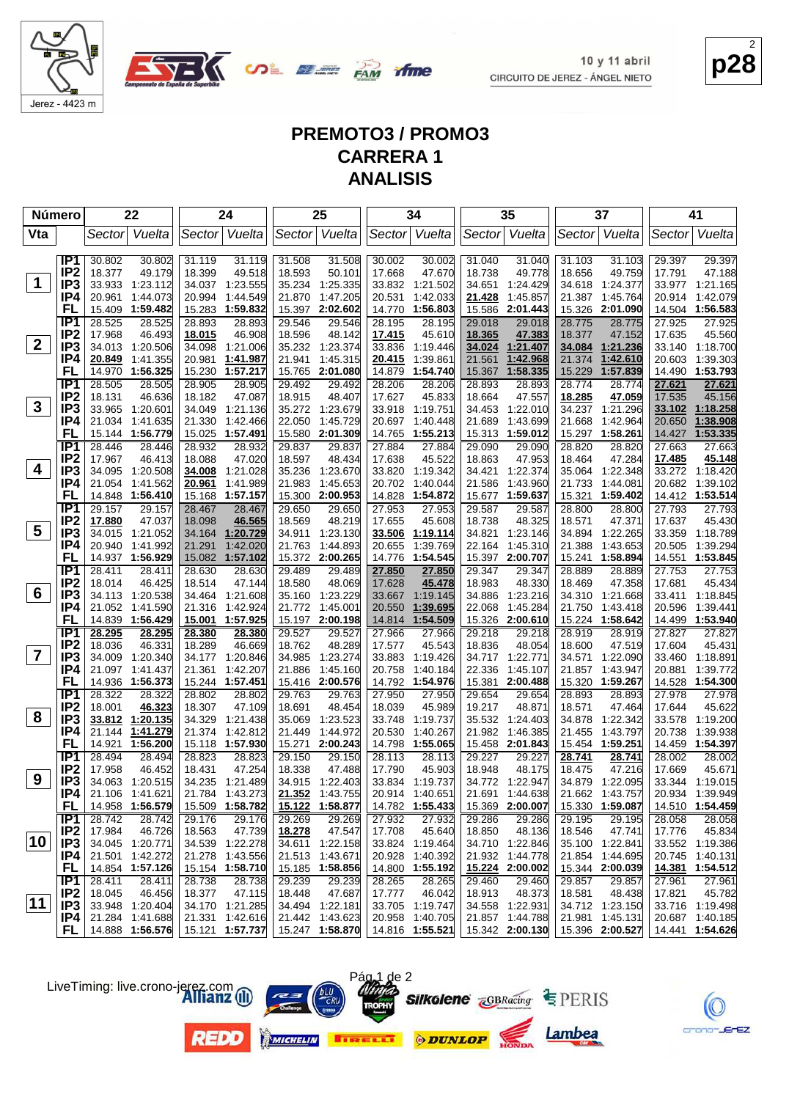

**OLEE PAM** 

**p28** 2

#### **PREMOTO3 / PROMO3 CARRERA 1 ANALISIS**

ifme

| <b>Número</b>           |                                    | 22                                     | 24                                     | 25                                     | 34                                     | 35                                     | 37                                     | 41                                     |
|-------------------------|------------------------------------|----------------------------------------|----------------------------------------|----------------------------------------|----------------------------------------|----------------------------------------|----------------------------------------|----------------------------------------|
| Vta                     |                                    | Vuelta<br>Sector                       | Sector Vuelta                          | Sector Vuelta                          | Sector<br>Vuelta                       | Sector Vuelta                          | Sector Vuelta                          | Vuelta<br>Sectorl                      |
|                         | IP1                                | 30.802<br>30.802                       | 31.119<br>31.119                       | 31.508<br>31.508                       | 30.002<br>30.002                       | 31.040<br>31.040                       | 31.103<br>31.103                       | 29.397<br>29.397                       |
|                         | IP <sub>2</sub>                    | 18.377<br>49.179                       | 18.399<br>49.518                       | 18.593<br>50.101                       | 17.668<br>47.670                       | 18.738<br>49.778                       | 18.656<br>49.759                       | 17.791<br>47.188                       |
| $\mathbf 1$             | IP <sub>3</sub>                    | 33.933 1:23.112                        | 34.037 1:23.555                        | 1:25.335<br>35.234                     | 33.832<br>1:21.502                     | 34.651 1:24.429                        | 34.618 1:24.377                        | 33.977 1:21.165                        |
|                         | IP4                                | 20.961<br>1:44.073                     | 20.994<br>1:44.549                     | 21.870<br>1:47.205                     | 20.531<br>1:42.033                     | 21.428<br>1:45.857                     | 21.387<br>1:45.764                     | 20.914<br>1:42.079                     |
|                         | FL                                 | 15.409<br>1:59.482                     | 15.283 1:59.832                        | 15.397<br>2:02.602                     | 14.770<br>1:56.803                     | 15.586<br>2:01.443                     | 15.326<br>2:01.090                     | 14.504 1:56.583                        |
|                         | IP <sub>1</sub>                    | 28.525<br>28.525                       | 28.893<br>28.893                       | 29.546<br>29.546                       | 28.195<br>28.195                       | 29.018<br>29.018                       | 28.775<br>28.775                       | 27.925<br>27.925                       |
|                         | IP <sub>2</sub>                    | 17.968<br>46.493                       | 18.015<br>46.908                       | 18.596<br>48.142                       | 17.415<br>45.610                       | 18.365<br>47.383                       | 18.377<br>47.152                       | 17.635<br>45.560                       |
| $2^{\circ}$             | IP <sub>3</sub>                    | 34.013<br>1:20.506                     | 34.098<br>1:21.006                     | 35.232 1:23.374                        | 33.836<br>1:19.446                     | 34.024<br>1:21.407                     | 34.084<br>1:21.236                     | 1:18.700<br>33.140                     |
|                         | IP4                                | 20.849<br>1:41.355                     | 20.981<br>1:41.987                     | 1:45.315<br>21.941                     | 20.415<br>1:39.861                     | 21.561<br>1:42.968                     | 21.374<br>1:42.610                     | 1:39.303<br>20.603                     |
|                         | FL                                 | 14.970<br>1:56.325                     | 15.230<br>1:57.217                     | 15.765<br>2:01.080                     | 14.879<br>1:54.740                     | 15.367<br>1:58.335                     | 15.229<br>1:57.839                     | 1:53.793<br>14.490                     |
|                         | IP <sub>1</sub>                    | 28.505<br>28.505                       | 28.905<br>28.905                       | 29.492<br>29.492                       | 28.206<br>28.206                       | 28.893<br>28.893                       | 28.774<br>28.774                       | 27.621<br>27.621                       |
|                         | IP <sub>2</sub>                    | 18.131<br>46.636                       | 18.182<br>47.087                       | 18.915<br>48.407                       | 17.627<br>45.833                       | 18.664<br>47.557                       | 18.285<br>47.059                       | 17.535<br>45.156                       |
| $\mathbf{3}$            | IP3                                | 33.965<br>1:20.601                     | 34.049<br>1:21.136                     | 35.272 1:23.679                        | 33.918<br>1:19.751                     | 34.453<br>1:22.010                     | 34.237<br>1:21.296                     | 1:18.258<br>33.102                     |
|                         | IP4                                | 21.034<br>1:41.635                     | 21.330<br>1:42.466                     | 22.050<br>1:45.729                     | 20.697<br>1:40.448                     | 21.689<br>1:43.699                     | 21.668<br>1:42.964                     | 20.650<br>1:38.908                     |
|                         | FL                                 | 15.144 1:56.779                        | 15.025 1:57.491                        | 2:01.309<br>15.580                     | 1:55.213<br>14.765                     | 15.313<br>1:59.012                     | 15.297<br>1:58.261                     | 14.427<br>1:53.335                     |
|                         | IP <sub>1</sub>                    | 28.446<br>28.446                       | 28.932<br>28.932                       | 29.837<br>29.837                       | 27.884<br>27.884                       | 29.090<br>29.090                       | 28.820<br>28.820                       | 27.663<br>27.663                       |
| 4                       | IP <sub>2</sub><br>IP <sub>3</sub> | 46.413<br>17.967<br>34.095<br>1:20.508 | 18.088<br>47.020<br>34.008<br>1:21.028 | 48.434<br>18.597<br>35.236<br>1:23.670 | 17.638<br>45.522<br>33.820<br>1:19.342 | 18.863<br>47.953<br>34.421<br>1:22.374 | 18.464<br>47.284<br>35.064<br>1:22.348 | 45.148<br>17.485<br>33.272 1:18.420    |
|                         | IP4                                | 21.054<br>1:41.562                     | 20.961<br>1:41.989                     | 21.983<br>1:45.653                     | 20.702<br>1:40.044                     | 21.586<br>1:43.960                     | 21.733<br>1:44.081                     | 20.682 1:39.102                        |
|                         | FL                                 | 1:56.410<br>14.848                     | 1:57.157<br>15.168                     | 2:00.953<br>15.300                     | 14.828<br>1:54.872                     | 15.677<br>1:59.637                     | 15.321<br>1:59.402                     | 14.412 1:53.514                        |
|                         | IP1                                | 29.157<br>29.157                       | 28.467<br>28.467                       | 29.650<br>29.650                       | 27.953<br>27.953                       | 29.587<br>29.587                       | 28.800<br>28.800                       | 27.793<br>27.793                       |
|                         | IP <sub>2</sub>                    | 17.880<br>47.037                       | 46.565<br>18.098                       | 18.569<br>48.219                       | 17.655<br>45.608                       | 18.738<br>48.325                       | 18.571<br>47.371                       | 17.637<br>45.430                       |
| $5\overline{)}$         | IP <sub>3</sub>                    | 34.015 1:21.052                        | 34.164 1:20.729                        | 34.911<br>1:23.130                     | 33.506<br>1:19.114                     | 34.821<br>1:23.146                     | 34.894<br>1:22.265                     | 1:18.789<br>33.359                     |
|                         | IP4                                | 20.940<br>1:41.992                     | 21.291<br>1:42.020                     | 21.763<br>1:44.893                     | 20.655<br>1:39.769                     | 22.164<br>1:45.310                     | 21.388<br>1:43.653                     | 1:39.294<br>20.505                     |
|                         | FL                                 | 14.937 1:56.929                        | 15.082 1:57.102                        | 15.372 2:00.265                        | 1:54.545<br>14.776                     | 15.397 2:00.707                        | 15.241<br>1:58.894                     | 1:53.845<br>14.551                     |
|                         | IP <sub>1</sub>                    | 28.411<br>28.411                       | 28.630<br>28.630                       | 29.489<br>29.489                       | 27.850<br>27.850                       | 29.347<br>29.347                       | 28.889<br>28.889                       | 27.753<br>27.753                       |
|                         | IP <sub>2</sub>                    | 18.014<br>46.425                       | 47.144<br>18.514                       | 48.069<br>18.580                       | 17.628<br>45.478                       | 18.983<br>48.330                       | 18.469<br>47.358                       | 45.434<br>17.681                       |
| 6                       | IP <sub>3</sub>                    | 34.113 1:20.538                        | 34.464 1:21.608                        | 1:23.229<br>35.160                     | 33.667<br>1:19.145                     | 34.886<br>1:23.216                     | 34.310<br>1:21.668                     | 33.411<br>1:18.845                     |
|                         | IP4                                | 21.052<br>1:41.590                     | 21.316<br>1:42.924                     | 21.772<br>1:45.001                     | 20.550<br>1:39.695                     | 22.068<br>1:45.284                     | 21.750<br>1:43.418                     | 20.596<br>1:39.441                     |
|                         | FL                                 | 14.839 1:56.429                        | 15.001 1:57.925                        | 15.197 2:00.198                        | 14.814<br>1:54.509                     | 15.326<br>2:00.610                     | 15.224 1:58.642                        | 14.499 1:53.940                        |
|                         | IP1                                | 28.295<br>28.295                       | 28.380<br>28.380                       | 29.527<br>29.527                       | 27.966<br>27.966                       | 29.218<br>29.218                       | 28.919<br>28.919                       | 27.827<br>27.827                       |
|                         | IP <sub>2</sub>                    | 46.331<br>18.036                       | 18.289<br>46.669                       | 18.762<br>48.289                       | 45.543<br>17.577                       | 18.836<br>48.054                       | 47.519<br>18.600                       | 17.604<br>45.431                       |
| $\overline{\mathbf{7}}$ | IP <sub>3</sub>                    | 34.009<br>1:20.340                     | 34.177<br>1:20.846                     | 34.985<br>1:23.274                     | 33.883<br>1:19.426                     | 34.717<br>1:22.771                     | 34.571<br>1:22.090                     | 1:18.891<br>33.460                     |
|                         | IP4                                | 21.097 1:41.437                        | 21.361 1:42.207                        | 21.886<br>1:45.160                     | 20.758<br>1:40.184                     | 22.336<br>1:45.107                     | 21.857<br>1:43.947                     | 20.881<br>1:39.772                     |
|                         | FL<br>TP1                          | 14.936 1:56.373                        | 15.244 1:57.451                        | 15.416 2:00.576                        | 14.792<br>1:54.976                     | 2:00.488<br>15.381                     | 15.320<br>1:59.267                     | 14.528 1:54.300                        |
|                         | IP <sub>2</sub>                    | 28.322<br>28.322<br>18.001             | 28.802<br>28.802                       | 29.763<br>29.763                       | 27.950<br>27.950                       | 29.654<br>29.654                       | 28.893<br>28.893                       | 27.978<br>27.978                       |
| 8                       | IP <sub>3</sub>                    | 46.323<br>33.812 1:20.135              | 18.307<br>47.109<br>34.329<br>1:21.438 | 18.691<br>48.454<br>1:23.523<br>35.069 | 18.039<br>45.989<br>1:19.737<br>33.748 | 19.217<br>48.871<br>35.532<br>1:24.403 | 18.571<br>47.464<br>34.878<br>1:22.342 | 17.644<br>45.622<br>1:19.200<br>33.578 |
|                         | IP4                                | 21.144<br>1:41.279                     | 21.374 1:42.812                        | 1:44.972<br>21.449                     | 20.530<br>1:40.267                     | 21.982<br>1:46.385                     | 1:43.797<br>21.455                     | 1:39.938<br>20.738                     |
|                         | FL                                 | 14.921<br>1:56.200                     | 15.118 1:57.930                        | 2:00.243<br>15.271                     | 14.798<br>1:55.065                     | 15.458 2:01.843                        | 1:59.251<br>15.454                     | 1:54.397<br>14.459                     |
|                         | IP <sub>1</sub>                    | 28.494<br>28.494                       | 28.823<br>28.823                       | 29.150<br>29.150                       | 28.113<br>28.113                       | 29.227<br>29.227                       | 28.741<br>28.741                       | 28.002<br>28.002                       |
|                         | IP <sub>2</sub>                    | 17.958<br>46.452                       | 18.431<br>47.254                       | 18.338<br>47.488                       | 17.790<br>45.903                       | 18.948<br>48.175                       | 18.475<br>47.216                       | 17.669<br>45.671                       |
| 9                       | IP <sub>3</sub>                    | 34.063 1:20.515                        | 34.235 1:21.489                        | 34.915 1:22.403                        | 33.834 1:19.737                        | 34.772 1:22.947                        | 34.879 1:22.095                        | 33.344 1:19.015                        |
|                         | IP4                                | 21.106 1:41.621                        | 21.784 1:43.273                        | 21.352 1:43.755                        |                                        | 20.914 1:40.651 21.691 1:44.638        | 21.662 1:43.757                        | 20.934 1:39.949                        |
|                         | FL.                                | 14.958 1:56.579                        | 15.509 1:58.782                        | 15.122 1:58.877                        | 14.782 1:55.433                        | 15.369 2:00.007                        | 15.330 1:59.087                        | 14.510 1:54.459                        |
|                         |                                    | 28.742<br>$IP1$ 28.742                 | 29.176<br>29.176                       | 29.269<br>29.269                       | 27.932<br>27.932                       | 29.286<br>29.286                       | 29.195<br>29.195                       | 28.058<br>28.058                       |
|                         | IP <sub>2</sub>                    | 46.726<br>17.984                       | 47.739<br>18.563                       | 18.278<br>47.547                       | 17.708<br>45.640                       | 18.850<br>48.136                       | 18.546<br>47.741                       | 17.776<br>45.834                       |
| 10                      | IP3                                | 34.045 1:20.771                        | 34.539 1:22.278                        | 34.611 1:22.158                        | 33.824 1:19.464                        | 34.710 1:22.846                        | 35.100 1:22.841                        | 33.552 1:19.386                        |
|                         | P4                                 | 21.501 1:42.272                        | 21.278 1:43.556                        | 21.513 1:43.671                        | 20.928 1:40.392                        | 21.932 1:44.778                        | 21.854 1:44.695                        | 20.745 1:40.131                        |
|                         | FL.                                | 14.854 1:57.126                        | 15.154 1:58.710                        | 15.185 1:58.856                        | 14.800 1:55.192                        | 15.224 2:00.002                        | 15.344 2:00.039                        | 14.381 1:54.512                        |
|                         | IP1                                | 28.411<br>28.411                       | 28.738<br>28.738                       | 29.239<br>29.239                       | 28.265<br>28.265                       | 29.460<br>29.460                       | 29.857<br>29.857                       | 27.961<br>27.961                       |
| 11                      | IP <sub>2</sub>                    | 18.045<br>46.456                       | 18.377<br>47.115                       | 47.687<br>18.448                       | 17.777<br>46.042                       | 18.913<br>48.373                       | 18.581<br>48.438                       | 45.782<br>17.821                       |
|                         | IP3                                | 33.948 1:20.404                        | 34.170 1:21.285                        | 34.494 1:22.181                        | 33.705 1:19.747                        | 34.558 1:22.931                        | 34.712 1:23.150                        | 33.716 1:19.498                        |
|                         | IP4 I                              | 21.284 1:41.688                        | 21.331 1:42.616                        | 21.442 1:43.623                        | 20.958 1:40.705                        | 21.857 1:44.788                        | 21.981 1:45.131                        | 20.687 1:40.185                        |
|                         | FL.                                | 14.888 1:56.576                        | 15.121 1:57.737                        |                                        | 15.247 1:58.870 14.816 1:55.521        | $15.342$ 2:00.130                      | 15.396 2:00.527                        | 14.441 1:54.626                        |

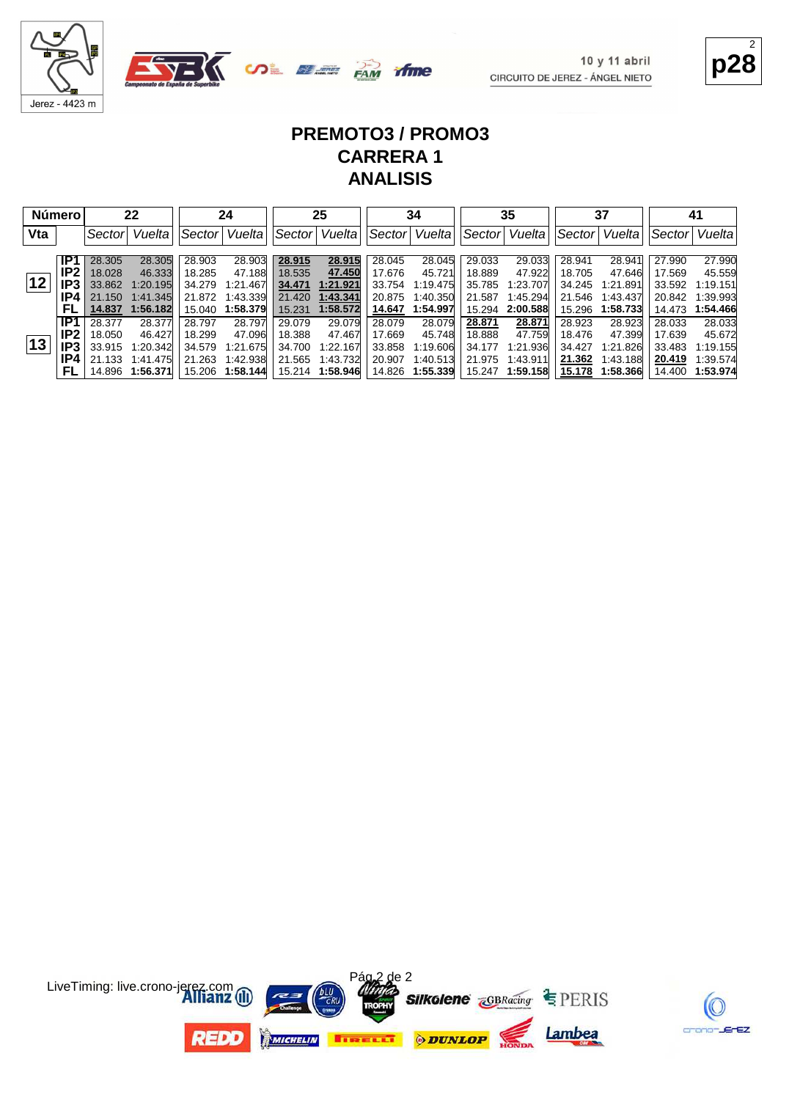



**p28** 2

#### **PREMOTO3 / PROMO3 CARRERA 1 ANALISIS**

time

|     | <b>Número</b> |                  | 22                   |                  | 24                   |                  | 25                   |                  | 34                   |                  | 35                   |                  | 37                   |                  | 41                   |
|-----|---------------|------------------|----------------------|------------------|----------------------|------------------|----------------------|------------------|----------------------|------------------|----------------------|------------------|----------------------|------------------|----------------------|
| Vta |               | Sectorl          | Vuelta               | Sector           | Vuelta               | Sector           | Vuelta               | Sector           | Vuelta               | Sector           | Vuelta               | Sector           | Vuelta               | Sector           | Vuelta               |
|     | IP1           | 28.305           | 28.305               | 28.903           | 28.903               | 28.915           | 28.915               | 28.045           | 28.045               | 29.033           | 29.033               | 28.941           | 28.941               | 27.990           | 27.990               |
|     | IP2           | 18.028           | 46.333               | 18.285           | 47.188               | 18.535           | 47.450               | 17.676           | 45.721               | 18.889           | 47.922               | 18.705           | 47.646               | 17.569           | 45.559               |
| 12  | IP3           | 33.862           | 1:20.195             | 34.279           | 1:21.467             | 34.471           | 1:21.921             | 33.754           | 1:19.475             | 35.785           | 1:23.707             | 34.245           | 1:21.891             | 33.592           | 1:19.151             |
|     | IP4           | 21.150<br>14.837 | 1:41.345<br>1:56.182 | 21.872<br>15.040 | 1:43.339<br>1:58.379 | 21.420<br>15.231 | 1:43.341<br>1:58.572 | 20.875<br>14.647 | 1:40.350<br>1:54.997 | 21.587<br>15.294 | 1:45.294<br>2:00.588 | 21.546<br>15.296 | 1:43.437<br>1:58.733 | 20.842<br>14.473 | 1:39.993<br>1:54.466 |
|     | IP1           | 28.377           | 28.377               | 28.797           | 28.797               | 29.079           | 29.079               | 28.079           | 28.079               | 28.871           | 28.871               | 28.923           | 28.923               | 28.033           | 28,033               |
|     | IP2.          | 18.050           | 46.427               | 18.299           | 47.096               | 18.388           | 47.467               | 17.669           | 45.748               | 18.888           | 47.759               | 18.476           | 47.399               | 17.639           | 45.672               |
| 13  | IP3           | 33.915           | 1:20.342             | 34.579           | 1:21.675             | 34.700           | 1:22.167             | 33.858           | 1:19.606             | 34.177           | 1:21.936             | 34.427           | 1:21.826             | 33.483           | 1:19.155             |
|     | IP4           | 21.133           | 1:41.475             | 21.263           | 1:42.938             | 21.565           | 1:43.732             | 20,907           | 1:40.513             | 21.975           | 1:43.911             | 21.362           | 1:43.188             | 20.419           | 1:39.574             |
|     |               | 14.896           | 1:56.371             | 15.206           | 1:58.144             | 15.214           | 1:58.946             | 14.826           | 1:55.339             | 15.247           | 1:59.158             | 15.178           | 1:58.366             | 14.400           | 1:53.974             |



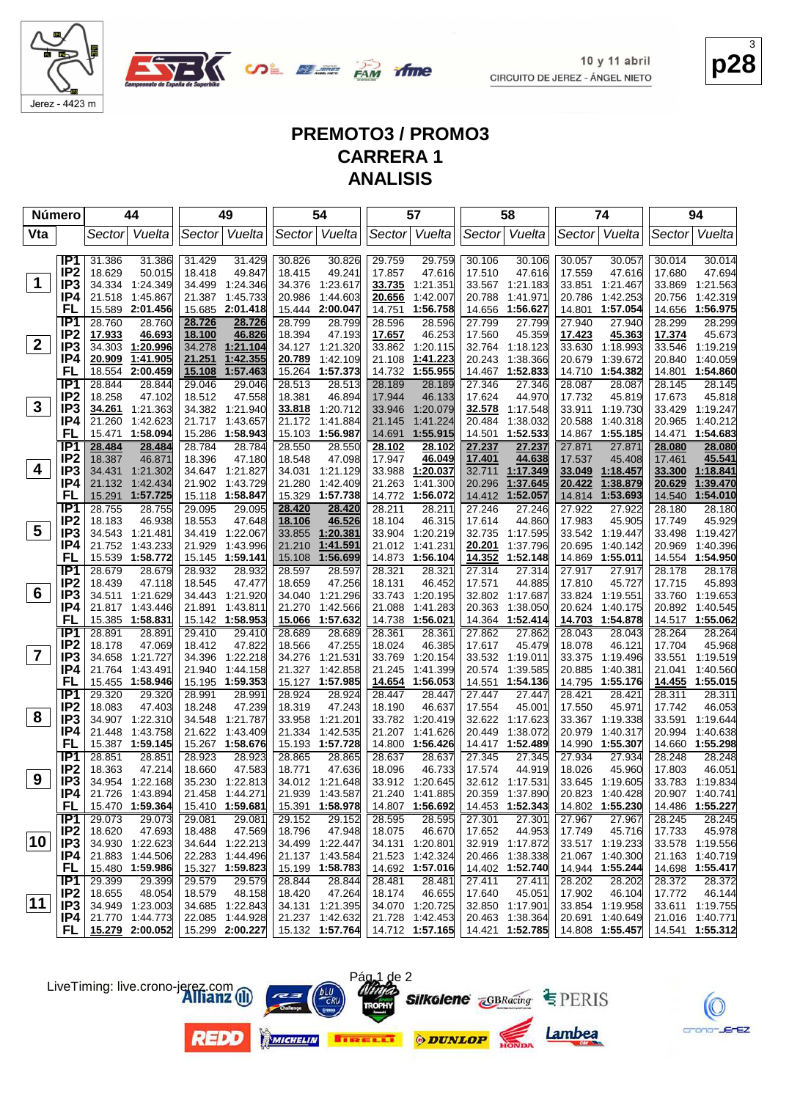

**OL SEE PAM** 

**p28** 3

#### **PREMOTO3 / PROMO3 CARRERA 1 ANALISIS**

*ifme* 

| <b>Número</b>           |                                    |                  | 44                          |                  | 49                          |                  | 54                          |                  | 57                                |                  | 58                   |                  | 74                          |                  | 94                          |
|-------------------------|------------------------------------|------------------|-----------------------------|------------------|-----------------------------|------------------|-----------------------------|------------------|-----------------------------------|------------------|----------------------|------------------|-----------------------------|------------------|-----------------------------|
| Vta                     |                                    | Sector           | Vuelta                      |                  | Sector Vuelta               |                  | Sector Vuelta               |                  | Sector Vuelta                     |                  | Sector Vuelta        |                  | Sector Vuelta               | Sector           | Vuelta                      |
|                         |                                    |                  |                             |                  |                             |                  |                             |                  |                                   |                  |                      |                  |                             |                  |                             |
|                         | IP1                                | 31.386           | 31.386                      | 31.429           | 31.429                      | 30.826           | 30.826                      | 29.759           | 29.759                            | 30.106           | 30.106               | 30.057           | 30.057                      | 30.014           | 30.014                      |
|                         | IP <sub>2</sub>                    | 18.629           | 50.015                      | 18.418           | 49.847                      | 18.415           | 49.241                      | 17.857           | 47.616                            | 17.510           | 47.616               | 17.559           | 47.616                      | 17.680           | 47.694                      |
| $\mathbf 1$             | IP <sub>3</sub>                    | 34.334           | 1:24.349                    | 34.499           | 1:24.346                    |                  | 34.376 1:23.617             | 33.735           | 1:21.351                          | 33.567           | 1:21.183             |                  | 33.851 1:21.467             | 33.869           | 1:21.563                    |
|                         | IP4                                | 21.518           | 1:45.867                    |                  | 21.387 1:45.733             | 20.986           | 1:44.603                    | 20.656           | 1:42.007                          | 20.788           | 1:41.971             | 20.786           | 1:42.253                    | 20.756           | 1:42.319                    |
|                         | FL                                 | 15.589           | 2:01.456                    |                  | 15.685 2:01.418             | 15.444           | 2:00.047                    | 14.751           | 1:56.758                          | 14.656           | 1:56.627             | 14.801           | 1:57.054                    | 14.656           | 1:56.975                    |
|                         | IP <sub>1</sub>                    | 28.760           | 28.760                      | 28.726           | 28.726                      | 28.799           | 28.799                      | 28.596           | 28.596                            | 27.799           | 27.799               | 27.940           | 27.940                      | 28.299           | 28.299                      |
| $\overline{2}$          | IP <sub>2</sub><br>IP <sub>3</sub> | 17.933<br>34.303 | 46.693<br>1:20.996          | 18.100<br>34.278 | 46.826<br>1:21.104          | 18.394           | 47.193<br>34.127 1:21.320   | 17.657<br>33.862 | 46.253<br>1:20.115                | 17.560<br>32.764 | 45.359<br>1:18.123   | 17.423<br>33.630 | 45.363<br>1:18.993          | 17.374<br>33.546 | 45.673<br>1:19.219          |
|                         | IP4                                | 20.909           | 1:41.905                    | 21.251           | 1:42.355                    | 20.789           | 1:42.109                    | 21.108           | 1:41.223                          | 20.243           | 1:38.366             | 20.679           | 1:39.672                    | 20.840           | 1:40.059                    |
|                         | FL                                 | 18.554           | 2:00.459                    | 15.108           | 1:57.463                    | 15.264           | 1:57.373                    | 14.732           | 1:55.955                          | 14.467           | 1:52.833             | 14.710           | 1:54.382                    |                  | 14.801 1:54.860             |
|                         | IP1                                | 28.844           | 28.844                      | 29.046           | 29.046                      | 28.513           | 28.513                      | 28.189           | 28.189                            | 27.346           | 27.346               | 28.087           | 28.087                      | 28.145           | 28.145                      |
|                         | IP <sub>2</sub>                    | 18.258           | 47.102                      | 18.512           | 47.558                      | 18.381           | 46.894                      | 17.944           | 46.133                            | 17.624           | 44.970               | 17.732           | 45.819                      | 17.673           | 45.818                      |
| $\mathbf{3}$            | IP <sub>3</sub>                    | 34.261           | 1:21.363                    |                  | 34.382 1:21.940             | 33.818           | 1:20.712                    | 33.946           | 1:20.079                          | 32.578           | 1:17.548             | 33.911           | 1:19.730                    | 33.429           | 1:19.247                    |
|                         | IP4                                | 21.260           | 1:42.623                    |                  | 21.717 1:43.657             | 21.172           | 1:41.884                    | 21.145           | 1:41.224                          | 20.484           | 1:38.032             | 20.588           | 1:40.318                    |                  | 20.965 1:40.212             |
|                         | FL                                 | 15.471           | 1:58.094                    | 15.286           | 1:58.943                    | 15.103           | 1:56.987                    | 14.691           | 1:55.915                          | 14.501           | 1:52.533             | 14.867           | 1:55.185                    |                  | 14.471 1:54.683             |
|                         | TP <sub>1</sub>                    | 28.484           | 28.484                      | 28.784           | 28.784                      | 28.550           | 28.550                      | 28.102           | 28.102                            | 27.237           | 27.237               | 27.871           | 27.871                      | 28.080           | 28.080                      |
|                         | IP <sub>2</sub>                    | 18.387           | 46.871                      | 18.396           | 47.180                      | 18.548           | 47.098                      | 17.947           | 46.049                            | 17.401           | 44.638               | 17.537           | 45.408                      | 17.461           | 45.541                      |
| 4                       | IP <sub>3</sub>                    | 34.431           | 1:21.302                    |                  | 34.647 1:21.827             | 34.031           | 1:21.129                    | 33.988           | 1:20.037                          | 32.711           | 1:17.349             | 33.049           | 1:18.457                    | 33.300           | <u>1:18.841</u>             |
|                         | IP4                                | 21.132           | 1:42.434                    | 21.902           | 1:43.729                    | 21.280           | 1:42.409                    | 21.263           | 1:41.300                          | 20.296           | 1:37.645             | 20.422           | 1:38.879                    | <u>20.629</u>    | <u>1:39.470</u>             |
|                         | FL                                 | 15.291           | 1:57.725                    |                  | 15.118 1:58.847             | 15.329           | 1:57.738                    | 14.772           | 1:56.072                          | 14.412           | 1:52.057             | 14.814           | 1:53.693                    | 14.540           | 1:54.010                    |
|                         | IP1<br>IP <sub>2</sub>             | 28.755<br>18.183 | 28.755                      | 29.095           | 29.095<br>47.648            | 28.420<br>18.106 | 28.420<br>46.526            | 28.211           | 28.211<br>46.315                  | 27.246           | 27.246               | 27.922           | 27.922                      | 28.180<br>17.749 | 28.180                      |
| 5                       | IP <sub>3</sub>                    |                  | 46.938<br>34.543 1:21.481   | 18.553<br>34.419 | 1:22.067                    | 33.855           | 1:20.381                    | 18.104<br>33.904 | 1:20.219                          | 17.614<br>32.735 | 44.860<br>1:17.595   | 17.983<br>33.542 | 45.905<br>1:19.447          | 33.498           | 45.929<br>1:19.427          |
|                         | IP4                                | 21.752           | 1:43.233                    | 21.929           | 1:43.996                    | 21.210           | 1:41.591                    | 21.012           | 1:41.231                          | 20.201           | 1:37.796             | 20.695           | 1:40.142                    | 20.969           | 1:40.396                    |
|                         | FL                                 | 15.539           | 1:58.772                    |                  | 15.145 1:59.141             | 15.108           | 1:56.699                    | 14.873           | 1:56.104                          | 14.352           | 1:52.148             | 14.869           | 1:55.011                    | 14.554           | 1:54.950                    |
|                         | IP <sub>1</sub>                    | 28.679           | 28.679                      | 28.932           | 28.932                      | 28.597           | 28.597                      | 28.321           | 28.321                            | 27.314           | 27.314               | 27.917           | 27.917                      | 28.178           | 28.178                      |
|                         | IP <sub>2</sub>                    | 18.439           | 47.118                      | 18.545           | 47.477                      | 18.659           | 47.256                      | 18.131           | 46.452                            | 17.571           | 44.885               | 17.810           | 45.727                      | 17.715           | 45.893                      |
| 6                       | IP <sub>3</sub>                    | 34.511           | 1:21.629                    |                  | 34.443 1:21.920             |                  | 34.040 1:21.296             | 33.743           | 1:20.195                          |                  | 32.802 1:17.687      |                  | 33.824 1:19.551             |                  | 33.760 1:19.653             |
|                         | IP4                                |                  | 21.817 1:43.446             | 21.891           | 1:43.811                    | 21.270           | 1:42.566                    | 21.088           | 1:41.283                          | 20.363           | 1:38.050             |                  | 20.624 1:40.175             | 20.892           | 1:40.545                    |
|                         | FL                                 | 15.385           | 1:58.831                    |                  | 15.142 1:58.953             | 15.066           | 1:57.632                    | 14.738           | 1:56.021                          | 14.364           | 1:52.414             | 14.703           | 1:54.878                    |                  | 14.517 1:55.062             |
|                         | IP1                                | 28.891           | 28.891                      | 29.410           | 29.410                      | 28.689           | 28.689                      | 28.361           | 28.361                            | 27.862           | 27.862               | 28.043           | 28.043                      | 28.264           | 28.264                      |
| $\overline{\mathbf{7}}$ | IP <sub>2</sub>                    | 18.178           | 47.069                      | 18.412           | 47.822                      | 18.566           | 47.255                      | 18.024           | 46.385                            | 17.617           | 45.479               | 18.078           | 46.121                      | 17.704           | 45.968                      |
|                         | IP <sub>3</sub>                    | 34.658           | 1:21.727                    |                  | 34.396 1:22.218             | 34.276           | 1:21.531                    | 33.769           | 1:20.154                          |                  | 33.532 1:19.011      | 33.375           | 1:19.496                    | 33.551           | 1:19.519                    |
|                         | IP4<br>FL                          | 21.764           | 1:43.491<br>15.455 1:58.946 | 21.940           | 1:44.158<br>15.195 1:59.353 | 21.327           | 1:42.858<br>15.127 1:57.985 | 21.245<br>14.654 | 1:41.399<br>1:56.053              | 20.574<br>14.551 | 1:39.585<br>1:54.136 | 20.885           | 1:40.381<br>14.795 1:55.176 | 21.041           | 1:40.560<br>14.455 1:55.015 |
|                         | IP <sub>1</sub>                    | 29.320           | 29.320                      | 28.991           | 28.991                      | 28.924           | 28.924                      | 28.447           | 28.447                            | 27.447           | 27.447               | 28.421           | 28.421                      | 28.311           | 28.311                      |
|                         | IP <sub>2</sub>                    | 18.083           | 47.403                      | 18.248           | 47.239                      | 18.319           | 47.243                      | 18.190           | 46.637                            | 17.554           | 45.001               | 17.550           | 45.971                      | 17.742           | 46.053                      |
| 8                       | IP <sub>3</sub>                    | 34.907           | 1:22.310                    | 34.548           | 1:21.787                    | 33.958           | 1:21.201                    | 33.782           | 1:20.419                          | 32.622           | 1:17.623             | 33.367           | 1:19.338                    | 33.591           | 1:19.644                    |
|                         | IP4                                | 21.448           | 1:43.758                    | 21.622           | 1:43.409                    | 21.334           | 1:42.535                    | 21.207           | 1:41.626                          | 20.449           | 1:38.072             | 20.979           | 1:40.317                    | 20.994           | 1:40.638                    |
|                         | FL                                 |                  | 15.387 1:59.145             |                  | 15.267 1:58.676             |                  | 15.193 1:57.728             |                  | 14.800 1:56.426                   |                  | 14.417 1:52.489      | 14.990           | 1:55.307                    |                  | 14.660 1:55.298             |
|                         | IP <sub>1</sub>                    | 28.851           | 28.851                      | 28.923           | 28.923                      | 28.865           | 28.865                      | 28.637           | 28.637                            | 27.345           | 27.345               | 27.934           | 27.934                      | 28.248           | 28.248                      |
|                         | IP <sub>2</sub>                    | 18.363           | 47.214                      | 18.660           | 47.583                      | 18.771           | 47.636                      | 18.096           | 46.733                            | 17.574           | 44.919               | 18.026           | 45.960                      | 17.803           | 46.051                      |
| 9                       | IP <sub>3</sub>                    |                  | 34.954 1:22.168             |                  | 35.230 1:22.813             |                  | 34.012 1:21.648             |                  | 33.912 1:20.645                   |                  | 32.612 1:17.531      |                  | 33.645 1:19.605             |                  | 33.783 1:19.834             |
|                         | IP4                                |                  | 21.726 1:43.894             |                  | 21.458 1:44.271             |                  | 21.939 1:43.587             |                  | 21.240 1:41.885 20.359 1:37.890   |                  |                      |                  | 20.823 1:40.428             |                  | 20.907 1:40.741             |
|                         | FL.                                |                  | 15.470 1:59.364             |                  | 15.410 1:59.681             |                  | 15.391 1:58.978             |                  | 14.807 1:56.692                   |                  | 14.453 1:52.343      |                  | 14.802 1:55.230             |                  | 14.486 1:55.227             |
|                         | IP1<br>IP <sub>2</sub>             | 29.073<br>18.620 | 29.073<br>47.693            | 29.081           | 29.081<br>47.569            | 29.152<br>18.796 | 29.152<br>47.948            | 28.595<br>18.075 | 28.595<br>46.670                  | 27.301<br>17.652 | 27.301<br>44.953     | 27.967<br>17.749 | 27.967<br>45.716            | 28.245<br>17.733 | 28.245<br>45.978            |
| 10                      | IP <sub>3</sub>                    |                  | 34.930 1:22.623             | 18.488           | 34.644 1:22.213             |                  | 34.499 1:22.447             | 34.131           | 1:20.801                          |                  | 32.919 1:17.872      |                  | 33.517 1:19.233             |                  | 33.578 1:19.556             |
|                         | IP4                                |                  | 21.883 1:44.506             |                  | 22.283 1:44.496             |                  | 21.137 1:43.584             | 21.523           | 1:42.324                          |                  | 20.466 1:38.338      |                  | 21.067 1:40.300             |                  | 21.163 1:40.719             |
|                         | <b>FL</b>                          |                  | 15.480 1:59.986             |                  | 15.327 1:59.823             |                  | 15.199 1:58.783             |                  | 14.692 1:57.016                   |                  | 14.402 1:52.740      |                  | 14.944 1:55.244             |                  | 14.698 1:55.417             |
|                         | IP1                                | 29.399           | 29.399                      | 29.579           | 29.579                      | 28.844           | 28.844                      | 28.481           | 28.481                            | 27.411           | 27.411               | 28.202           | 28.202                      | 28.372           | 28.372                      |
|                         | IP <sub>2</sub>                    | 18.655           | 48.054                      | 18.579           | 48.158                      | 18.420           | 47.264                      | 18.174           | 46.655                            | 17.640           | 45.051               | 17.902           | 46.104                      | 17.772           | 46.144                      |
| $ 11\rangle$            | IP <sub>3</sub>                    |                  | 34.949 1:23.003             |                  | 34.685 1:22.843             |                  | 34.131 1:21.395             |                  | 34.070 1:20.725                   |                  | 32.850 1:17.901      |                  | 33.854 1:19.958             |                  | 33.611 1:19.755             |
|                         | IP4                                |                  | 21.770 1:44.773             |                  | 22.085 1:44.928             |                  | 21.237 1:42.632             |                  | 21.728 1:42.453                   |                  | 20.463 1:38.364      |                  | 20.691 1:40.649             |                  | 21.016 1:40.771             |
|                         | FL.                                |                  | 15.279 2:00.052             |                  | 15.299 2:00.227             |                  | 15.132 1:57.764             |                  | 14.712 1:57.165   14.421 1:52.785 |                  |                      |                  | 14.808 1:55.457             |                  | 14.541 1:55.312             |

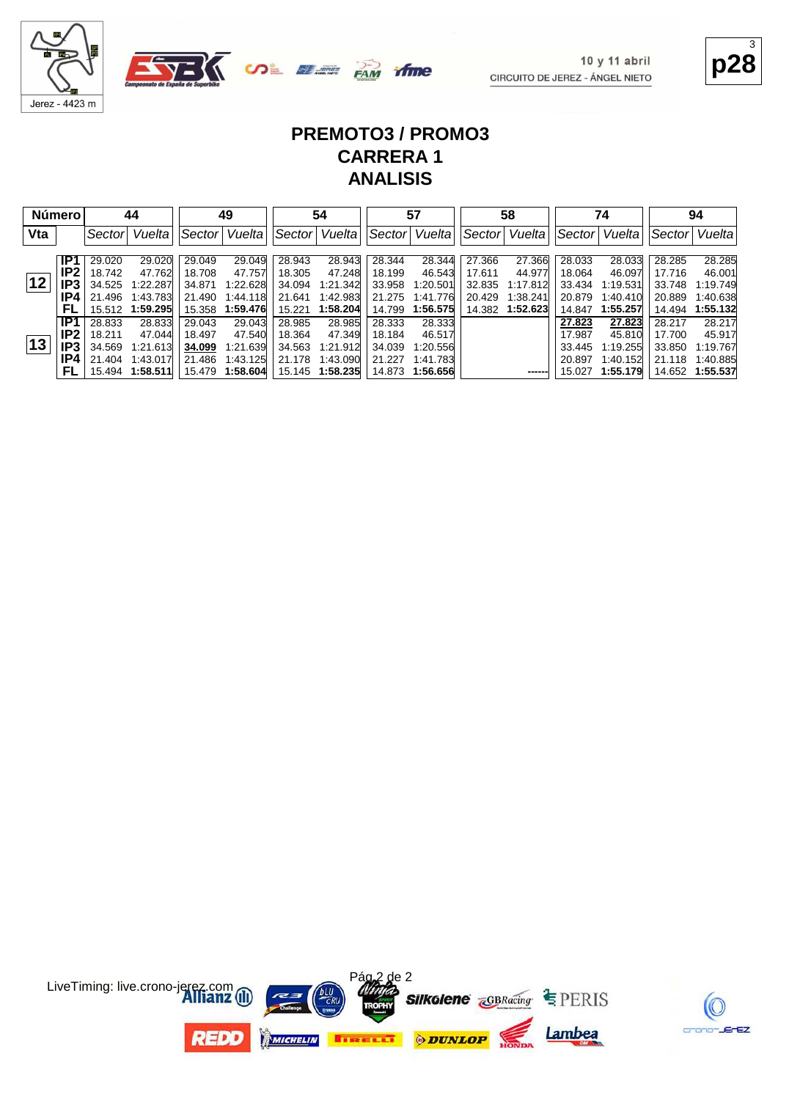

**OLEE PAM**  $\Delta =$ 

**p28** 3

#### **PREMOTO3 / PROMO3 CARRERA 1 ANALISIS**

time

| <b>Número</b> |      |        | 44              |        | 49              |        | 54              |        | 57              |         | 58       |        | 74       |        | 94              |
|---------------|------|--------|-----------------|--------|-----------------|--------|-----------------|--------|-----------------|---------|----------|--------|----------|--------|-----------------|
| Vta           |      | Sector | Vuelta          | Sector | Vuelta          | Sector | Vuelta          | Sector | Vuelta          | ∣Sector | Vuelta   | Sector | Vuelta   | Sector | Vuelta          |
|               | IP1  | 29.020 | 29.020          | 29.049 | 29.049          | 28.943 | 28.943          | 28.344 | 28.344          | 27.366  | 27.366   | 28.033 | 28.033   | 28.285 | 28.285          |
|               | IP2. | 18.742 | 47.762          | 18.708 | 47.757          | 18.305 | 47.248          | 18.199 | 46.543          | 17.611  | 44.977   | 18.064 | 46.097   | 17.716 | 46.001          |
| 12            | IP3  | 34.525 | 1:22.287        | 34.871 | 1:22.628        | 34.094 | 1:21.342        | 33.958 | 1:20.501        | 32.835  | 1:17.812 | 33.434 | 1:19.531 | 33.748 | 1:19.749        |
|               | IP4  | 21.496 | 1:43.783        | 21.490 | 1:44.118        | 21.641 | 1:42.983        | 21.275 | 1:41.776        | 20.429  | 1:38.241 | 20.879 | 1:40.410 | 20.889 | 1:40.638        |
|               | FL   |        | 15.512 1:59.295 |        | 15.358 1:59.476 | 15.221 | 1:58.204        | 14.799 | 1:56.575        | 14.382  | 1:52.623 | 14.847 | 1:55.257 | 14.494 | 1:55.132        |
|               | IP1  | 28.833 | 28.833          | 29.043 | 29.043          | 28.985 | 28.985          | 28.333 | 28.333          |         |          | 27.823 | 27.823   | 28.217 | 28.217          |
|               | IP2. | 18.211 | 47.044          | 18.497 | 47.540          | 18.364 | 47.349          | 18.184 | 46.517          |         |          | 17.987 | 45.810   | 17.700 | 45.917          |
| 13            | IP3  | 34.569 | 1:21.613        | 34.099 | 1:21.639        | 34.563 | 1:21.912        | 34.039 | 1:20.556        |         |          | 33.445 | 1:19.255 | 33.850 | 1:19.767        |
|               | IP4. | 21.404 | 1:43.017        | 21.486 | 1:43.125        | 21.178 | 1:43.090        | 21.227 | 1:41.783        |         |          | 20.897 | 1:40.152 | 21.118 | 1:40.885        |
|               | FL   |        | 15.494 1:58.511 |        | 15.479 1:58.604 |        | 15.145 1:58.235 |        | 14.873 1:56.656 |         | ------   | 15.027 | 1:55.179 |        | 14.652 1:55.537 |



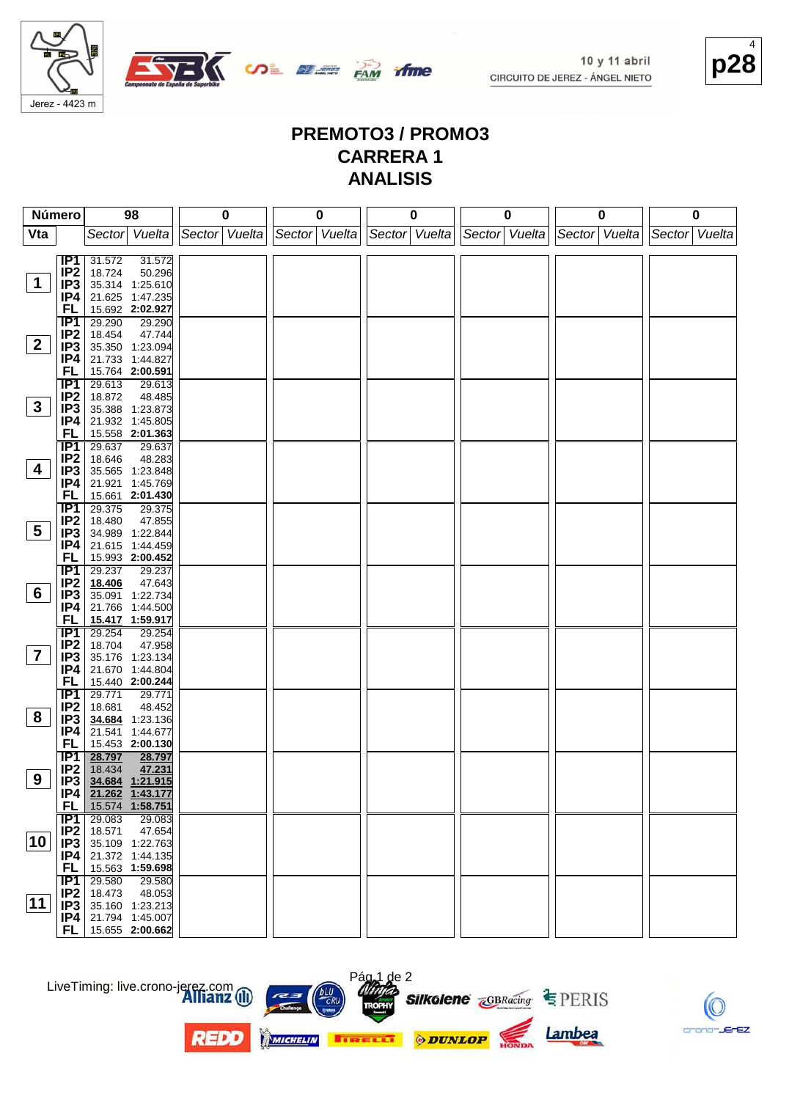

**OL SEE PAM** 



#### **PREMOTO3 / PROMO3 CARRERA 1 ANALISIS**

time

|                 | Número                             | 98                                  | $\bf{0}$                          | 0 | 0 |                             | $\mathbf 0$ |               | 0 |               | 0 |
|-----------------|------------------------------------|-------------------------------------|-----------------------------------|---|---|-----------------------------|-------------|---------------|---|---------------|---|
| Vta             |                                    | Sector Vuelta                       | Sector   Vuelta   Sector   Vuelta |   |   | Sector Vuelta Sector Vuelta |             | Sector Vuelta |   | Sector Vuelta |   |
|                 |                                    |                                     |                                   |   |   |                             |             |               |   |               |   |
|                 | IP1                                | 31.572<br>31.572                    |                                   |   |   |                             |             |               |   |               |   |
|                 | IP <sub>2</sub>                    | 50.296<br>18.724                    |                                   |   |   |                             |             |               |   |               |   |
| 1               | IP3                                | 35.314 1:25.610                     |                                   |   |   |                             |             |               |   |               |   |
|                 | IP4                                | 21.625 1:47.235                     |                                   |   |   |                             |             |               |   |               |   |
|                 | FL                                 | 15.692 2:02.927                     |                                   |   |   |                             |             |               |   |               |   |
|                 | IP1                                | 29.290<br>29.290                    |                                   |   |   |                             |             |               |   |               |   |
| $\mathbf{2}$    | IP <sub>2</sub><br>IP <sub>3</sub> | 18.454<br>47.744<br>35.350 1:23.094 |                                   |   |   |                             |             |               |   |               |   |
|                 | IP4                                | 21.733 1:44.827                     |                                   |   |   |                             |             |               |   |               |   |
|                 | FL                                 | 15.764 2:00.591                     |                                   |   |   |                             |             |               |   |               |   |
|                 | <b>IP1</b>                         | 29.613<br>29.613                    |                                   |   |   |                             |             |               |   |               |   |
|                 | IP <sub>2</sub>                    | 18.872<br>48.485                    |                                   |   |   |                             |             |               |   |               |   |
| $3\phantom{a}$  | IP <sub>3</sub>                    | 35.388 1:23.873                     |                                   |   |   |                             |             |               |   |               |   |
|                 | IP4                                | 21.932 1:45.805                     |                                   |   |   |                             |             |               |   |               |   |
|                 | FL                                 | 15.558 2:01.363                     |                                   |   |   |                             |             |               |   |               |   |
|                 | <b>IP1</b>                         | 29.637<br>29.637                    |                                   |   |   |                             |             |               |   |               |   |
|                 | IP <sub>2</sub>                    | 18.646<br>48.283                    |                                   |   |   |                             |             |               |   |               |   |
| 4               | IP <sub>3</sub>                    | 35.565 1:23.848                     |                                   |   |   |                             |             |               |   |               |   |
|                 | IP4                                | 21.921 1:45.769                     |                                   |   |   |                             |             |               |   |               |   |
|                 | FL                                 | 15.661 2:01.430<br>29.375           |                                   |   |   |                             |             |               |   |               |   |
|                 | <b>IP1</b><br>IP <sub>2</sub>      | 29.375<br>18.480<br>47.855          |                                   |   |   |                             |             |               |   |               |   |
| $5\overline{)}$ | IP <sub>3</sub>                    | 34.989 1:22.844                     |                                   |   |   |                             |             |               |   |               |   |
|                 | IP4                                | 21.615 1:44.459                     |                                   |   |   |                             |             |               |   |               |   |
|                 | FL                                 | 15.993 2:00.452                     |                                   |   |   |                             |             |               |   |               |   |
|                 | $\overline{IP1}$                   | 29.237<br>29.237                    |                                   |   |   |                             |             |               |   |               |   |
|                 | IP <sub>2</sub>                    | 18.406<br>47.643                    |                                   |   |   |                             |             |               |   |               |   |
| $6\overline{6}$ | IP <sub>3</sub>                    | 35.091 1:22.734                     |                                   |   |   |                             |             |               |   |               |   |
|                 | IP4                                | 21.766 1:44.500                     |                                   |   |   |                             |             |               |   |               |   |
|                 | FL                                 | 15.417 1:59.917                     |                                   |   |   |                             |             |               |   |               |   |
|                 | IP1                                | 29.254<br>29.254                    |                                   |   |   |                             |             |               |   |               |   |
| $\overline{7}$  | IP <sub>2</sub>                    | 18.704<br>47.958                    |                                   |   |   |                             |             |               |   |               |   |
|                 | IP3<br>IP4                         | 35.176 1:23.134<br>21.670 1:44.804  |                                   |   |   |                             |             |               |   |               |   |
|                 | FL                                 | 15.440 2:00.244                     |                                   |   |   |                             |             |               |   |               |   |
|                 | <b>IP1</b>                         | 29.771<br>29.771                    |                                   |   |   |                             |             |               |   |               |   |
|                 | IP <sub>2</sub>                    | 18.681<br>48.452                    |                                   |   |   |                             |             |               |   |               |   |
| 8               | IP3                                | 34.684 1:23.136                     |                                   |   |   |                             |             |               |   |               |   |
|                 | IP4                                | 21.541 1:44.677                     |                                   |   |   |                             |             |               |   |               |   |
|                 | FL                                 | 15.453 2:00.130                     |                                   |   |   |                             |             |               |   |               |   |
|                 | <b>IP1</b>                         | 28.797<br>28.797                    |                                   |   |   |                             |             |               |   |               |   |
|                 | IP <sub>2</sub>                    | 47.231<br>18.434                    |                                   |   |   |                             |             |               |   |               |   |
| 9               | IP <sub>3</sub><br>IP4             | 34.684 1:21.915<br>21.262 1:43.177  |                                   |   |   |                             |             |               |   |               |   |
|                 | FL                                 | 15.574 1:58.751                     |                                   |   |   |                             |             |               |   |               |   |
|                 | IP1                                | 29.083<br>29.083                    |                                   |   |   |                             |             |               |   |               |   |
|                 | IP2                                | 18.571<br>47.654                    |                                   |   |   |                             |             |               |   |               |   |
| 10              | IP <sub>3</sub>                    | 35.109 1:22.763                     |                                   |   |   |                             |             |               |   |               |   |
|                 | IP4                                | 21.372 1:44.135                     |                                   |   |   |                             |             |               |   |               |   |
|                 | <b>FL</b>                          | 15.563 1:59.698                     |                                   |   |   |                             |             |               |   |               |   |
|                 | IP1                                | 29.580<br>29.580                    |                                   |   |   |                             |             |               |   |               |   |
|                 | IP <sub>2</sub>                    | 18.473<br>48.053                    |                                   |   |   |                             |             |               |   |               |   |
| 11              | IP <sub>3</sub>                    | 35.160 1:23.213                     |                                   |   |   |                             |             |               |   |               |   |
|                 | P4                                 | 21.794 1:45.007                     |                                   |   |   |                             |             |               |   |               |   |
|                 | FL                                 | 15.655 2:00.662                     |                                   |   |   |                             |             |               |   |               |   |





**REDD** 



Pág 1 de 2



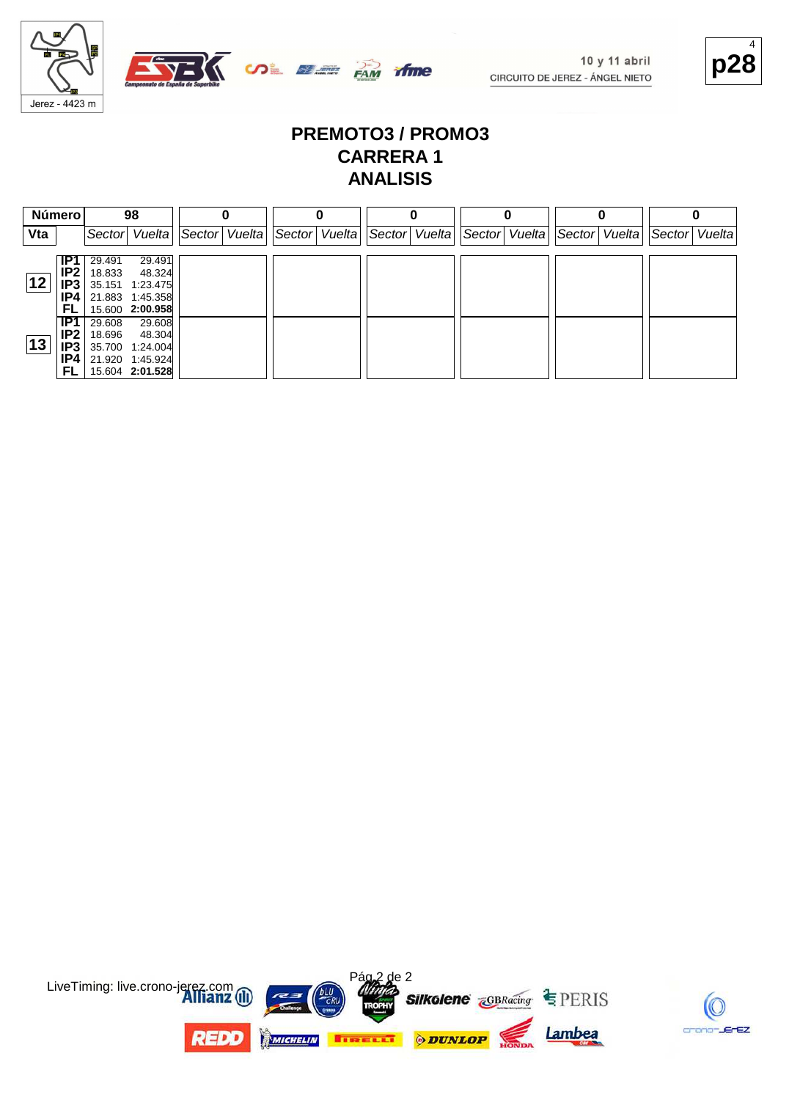

## **p28** 4

#### **PREMOTO3 / PROMO3 CARRERA 1 ANALISIS**

| Número       |                               |                  | 98                                                    |               |               |               |               |               |  |               |  |
|--------------|-------------------------------|------------------|-------------------------------------------------------|---------------|---------------|---------------|---------------|---------------|--|---------------|--|
| Vta          |                               |                  | Sector Vuelta                                         | Sector Vuelta | Sector Vuelta | Sector Vuelta | Sector Vuelta | Sector Vuelta |  | Sector Vuelta |  |
|              | IP1<br>IP <sub>2</sub>        | 29.491<br>18.833 | 29.491<br>48.324                                      |               |               |               |               |               |  |               |  |
| 12           | IP3<br>IP4<br>FL              |                  | 35.151 1:23.475<br>21.883 1:45.358<br>15.600 2:00.958 |               |               |               |               |               |  |               |  |
| $ 13\rangle$ | IP1<br>IP <sub>2</sub><br>IP3 | 29.608<br>18.696 | 29.608<br>48.304<br>35.700 1:24.004                   |               |               |               |               |               |  |               |  |
|              | IP4<br>FL                     |                  | 21.920 1:45.924<br>15.604 2:01.528                    |               |               |               |               |               |  |               |  |



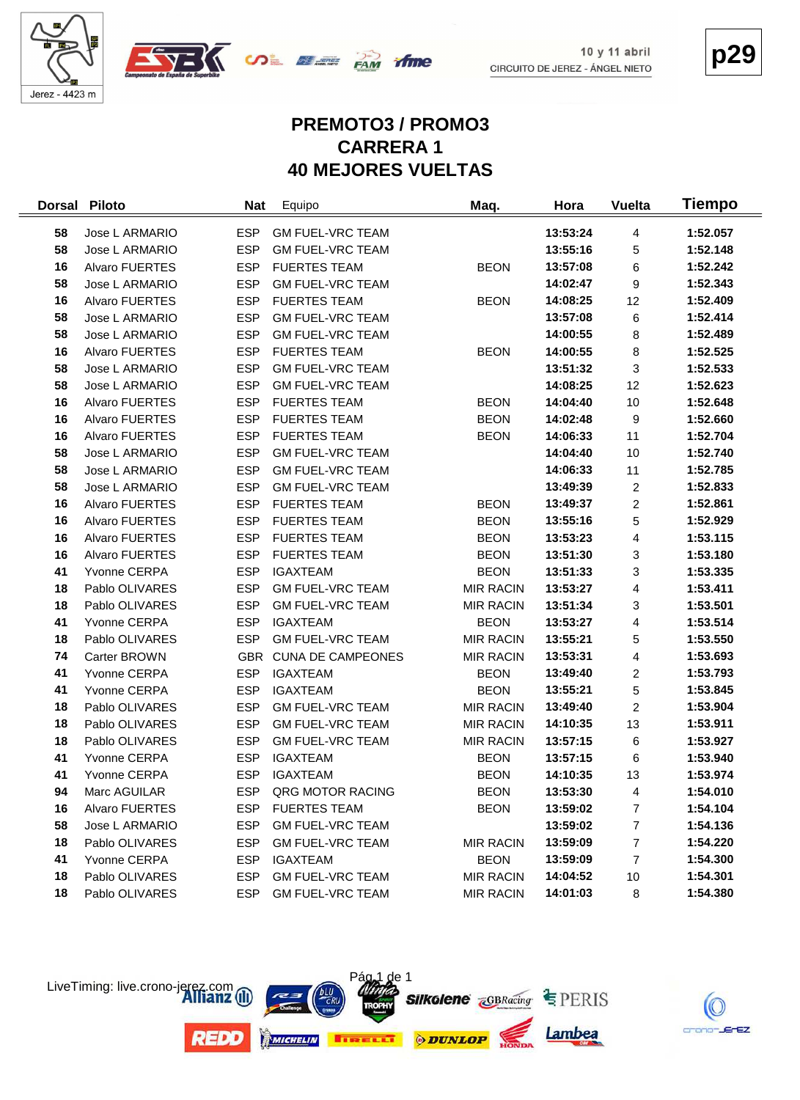



**p29**

#### **PREMOTO3 / PROMO3 CARRERA 1 40 MEJORES VUELTAS**

| <b>Dorsal</b> | <b>Piloto</b>         | <b>Nat</b> | Equipo                   | Maq.             | Hora     | <b>Vuelta</b>  | Tiempo   |
|---------------|-----------------------|------------|--------------------------|------------------|----------|----------------|----------|
| 58            | Jose L ARMARIO        | <b>ESP</b> | <b>GM FUEL-VRC TEAM</b>  |                  | 13:53:24 | 4              | 1:52.057 |
| 58            | Jose L ARMARIO        | <b>ESP</b> | <b>GM FUEL-VRC TEAM</b>  |                  | 13:55:16 | 5              | 1:52.148 |
| 16            | Alvaro FUERTES        | <b>ESP</b> | <b>FUERTES TEAM</b>      | <b>BEON</b>      | 13:57:08 | 6              | 1:52.242 |
| 58            | Jose L ARMARIO        | <b>ESP</b> | <b>GM FUEL-VRC TEAM</b>  |                  | 14:02:47 | 9              | 1:52.343 |
| 16            | Alvaro FUERTES        | <b>ESP</b> | <b>FUERTES TEAM</b>      | <b>BEON</b>      | 14:08:25 | 12             | 1:52.409 |
| 58            | Jose L ARMARIO        | <b>ESP</b> | <b>GM FUEL-VRC TEAM</b>  |                  | 13:57:08 | 6              | 1:52.414 |
| 58            | Jose L ARMARIO        | <b>ESP</b> | <b>GM FUEL-VRC TEAM</b>  |                  | 14:00:55 | 8              | 1:52.489 |
| 16            | Alvaro FUERTES        | <b>ESP</b> | <b>FUERTES TEAM</b>      | <b>BEON</b>      | 14:00:55 | 8              | 1:52.525 |
| 58            | Jose L ARMARIO        | <b>ESP</b> | <b>GM FUEL-VRC TEAM</b>  |                  | 13:51:32 | 3              | 1:52.533 |
| 58            | Jose L ARMARIO        | <b>ESP</b> | <b>GM FUEL-VRC TEAM</b>  |                  | 14:08:25 | 12             | 1:52.623 |
| 16            | Alvaro FUERTES        | <b>ESP</b> | <b>FUERTES TEAM</b>      | <b>BEON</b>      | 14:04:40 | 10             | 1:52.648 |
| 16            | Alvaro FUERTES        | <b>ESP</b> | <b>FUERTES TEAM</b>      | <b>BEON</b>      | 14:02:48 | 9              | 1:52.660 |
| 16            | Alvaro FUERTES        | <b>ESP</b> | <b>FUERTES TEAM</b>      | <b>BEON</b>      | 14:06:33 | 11             | 1:52.704 |
| 58            | Jose L ARMARIO        | <b>ESP</b> | <b>GM FUEL-VRC TEAM</b>  |                  | 14:04:40 | 10             | 1:52.740 |
| 58            | Jose L ARMARIO        | <b>ESP</b> | <b>GM FUEL-VRC TEAM</b>  |                  | 14:06:33 | 11             | 1:52.785 |
| 58            | Jose L ARMARIO        | <b>ESP</b> | <b>GM FUEL-VRC TEAM</b>  |                  | 13:49:39 | $\overline{c}$ | 1:52.833 |
| 16            | <b>Alvaro FUERTES</b> | <b>ESP</b> | <b>FUERTES TEAM</b>      | <b>BEON</b>      | 13:49:37 | $\overline{c}$ | 1:52.861 |
| 16            | Alvaro FUERTES        | <b>ESP</b> | <b>FUERTES TEAM</b>      | <b>BEON</b>      | 13:55:16 | 5              | 1:52.929 |
| 16            | Alvaro FUERTES        | <b>ESP</b> | <b>FUERTES TEAM</b>      | <b>BEON</b>      | 13:53:23 | 4              | 1:53.115 |
| 16            | Alvaro FUERTES        | <b>ESP</b> | <b>FUERTES TEAM</b>      | <b>BEON</b>      | 13:51:30 | 3              | 1:53.180 |
| 41            | Yvonne CERPA          | <b>ESP</b> | <b>IGAXTEAM</b>          | <b>BEON</b>      | 13:51:33 | 3              | 1:53.335 |
| 18            | Pablo OLIVARES        | <b>ESP</b> | <b>GM FUEL-VRC TEAM</b>  | <b>MIR RACIN</b> | 13:53:27 | 4              | 1:53.411 |
| 18            | Pablo OLIVARES        | <b>ESP</b> | <b>GM FUEL-VRC TEAM</b>  | <b>MIR RACIN</b> | 13:51:34 | 3              | 1:53.501 |
| 41            | Yvonne CERPA          | <b>ESP</b> | <b>IGAXTEAM</b>          | <b>BEON</b>      | 13:53:27 | 4              | 1:53.514 |
| 18            | Pablo OLIVARES        | <b>ESP</b> | <b>GM FUEL-VRC TEAM</b>  | <b>MIR RACIN</b> | 13:55:21 | 5              | 1:53.550 |
| 74            | Carter BROWN          | <b>GBR</b> | <b>CUNA DE CAMPEONES</b> | <b>MIR RACIN</b> | 13:53:31 | 4              | 1:53.693 |
| 41            | Yvonne CERPA          | <b>ESP</b> | <b>IGAXTEAM</b>          | <b>BEON</b>      | 13:49:40 | $\overline{c}$ | 1:53.793 |
| 41            | Yvonne CERPA          | <b>ESP</b> | <b>IGAXTEAM</b>          | <b>BEON</b>      | 13:55:21 | 5              | 1:53.845 |
| 18            | Pablo OLIVARES        | <b>ESP</b> | <b>GM FUEL-VRC TEAM</b>  | <b>MIR RACIN</b> | 13:49:40 | $\overline{c}$ | 1:53.904 |
| 18            | Pablo OLIVARES        | <b>ESP</b> | <b>GM FUEL-VRC TEAM</b>  | <b>MIR RACIN</b> | 14:10:35 | 13             | 1:53.911 |
| 18            | Pablo OLIVARES        | <b>ESP</b> | <b>GM FUEL-VRC TEAM</b>  | <b>MIR RACIN</b> | 13:57:15 | 6              | 1:53.927 |
| 41            | Yvonne CERPA          | <b>ESP</b> | <b>IGAXTEAM</b>          | <b>BEON</b>      | 13:57:15 | 6              | 1:53.940 |
| 41            | Yvonne CERPA          | <b>ESP</b> | <b>IGAXTEAM</b>          | <b>BEON</b>      | 14:10:35 | 13             | 1:53.974 |
| 94            | Marc AGUILAR          | <b>ESP</b> | QRG MOTOR RACING         | <b>BEON</b>      | 13:53:30 | 4              | 1:54.010 |
| 16            | Alvaro FUERTES        | <b>ESP</b> | <b>FUERTES TEAM</b>      | <b>BEON</b>      | 13:59:02 | 7              | 1:54.104 |
| 58            | Jose L ARMARIO        | <b>ESP</b> | <b>GM FUEL-VRC TEAM</b>  |                  | 13:59:02 | 7              | 1:54.136 |
| 18            | Pablo OLIVARES        | <b>ESP</b> | <b>GM FUEL-VRC TEAM</b>  | <b>MIR RACIN</b> | 13:59:09 | 7              | 1:54.220 |
| 41            | Yvonne CERPA          | <b>ESP</b> | <b>IGAXTEAM</b>          | <b>BEON</b>      | 13:59:09 | 7              | 1:54.300 |
| 18            | Pablo OLIVARES        | ESP        | <b>GM FUEL-VRC TEAM</b>  | <b>MIR RACIN</b> | 14:04:52 | 10             | 1:54.301 |
| 18            | Pablo OLIVARES        | <b>ESP</b> | <b>GM FUEL-VRC TEAM</b>  | <b>MIR RACIN</b> | 14:01:03 | 8              | 1:54.380 |



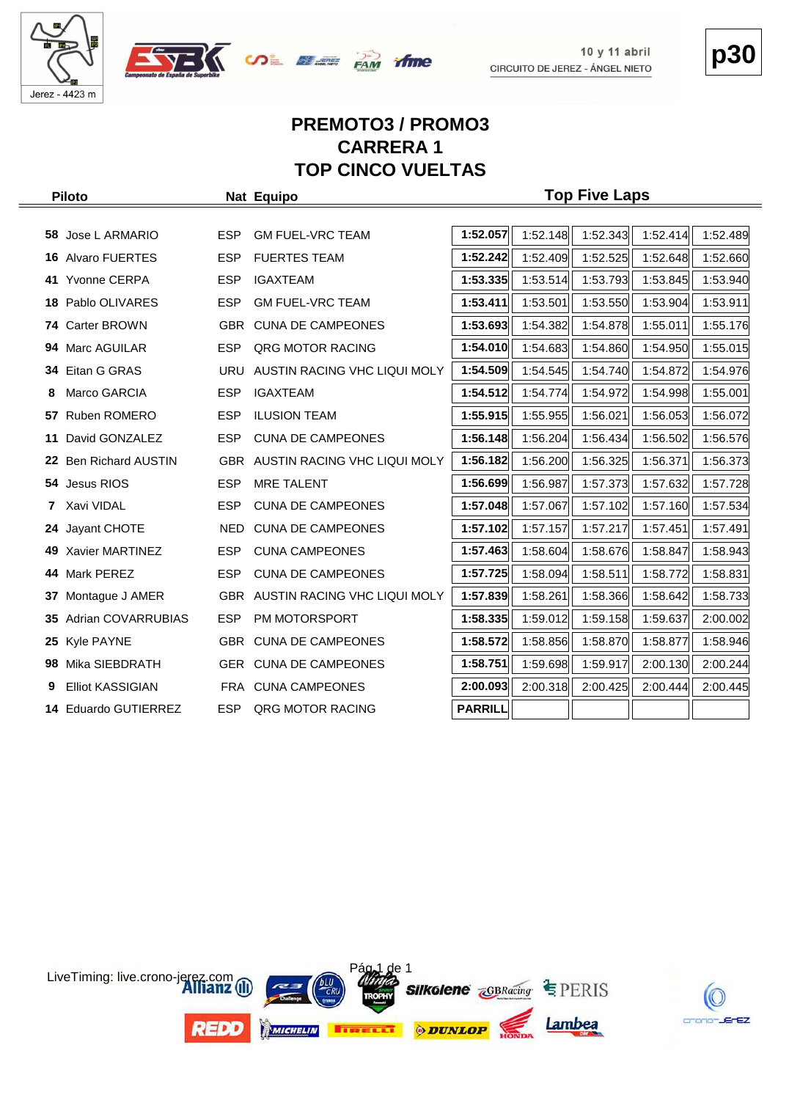





**p30**

#### **PREMOTO3 / PROMO3 CARRERA 1 TOP CINCO VUELTAS**

|     | <b>Piloto</b>             |            | Nat Equipo                       | <b>Top Five Laps</b> |          |          |          |          |  |  |  |  |  |  |
|-----|---------------------------|------------|----------------------------------|----------------------|----------|----------|----------|----------|--|--|--|--|--|--|
|     |                           |            |                                  |                      |          |          |          |          |  |  |  |  |  |  |
|     | 58 Jose L ARMARIO         | <b>ESP</b> | <b>GM FUEL-VRC TEAM</b>          | 1:52.057             | 1:52.148 | 1:52.343 | 1:52.414 | 1:52.489 |  |  |  |  |  |  |
|     | <b>16 Alvaro FUERTES</b>  | <b>ESP</b> | <b>FUERTES TEAM</b>              | 1:52.242             | 1:52.409 | 1:52.525 | 1:52.648 | 1:52.660 |  |  |  |  |  |  |
|     | 41 Yvonne CERPA           | <b>ESP</b> | <b>IGAXTEAM</b>                  | 1:53.335             | 1:53.514 | 1:53.793 | 1:53.845 | 1:53.940 |  |  |  |  |  |  |
| 18. | Pablo OLIVARES            | <b>ESP</b> | <b>GM FUEL-VRC TEAM</b>          | 1:53.411             | 1:53.501 | 1:53.550 | 1:53.904 | 1:53.911 |  |  |  |  |  |  |
|     | 74 Carter BROWN           | <b>GBR</b> | <b>CUNA DE CAMPEONES</b>         | 1:53.693             | 1:54.382 | 1:54.878 | 1:55.011 | 1:55.176 |  |  |  |  |  |  |
| 94  | Marc AGUILAR              | <b>ESP</b> | QRG MOTOR RACING                 | 1:54.010             | 1:54.683 | 1:54.860 | 1:54.950 | 1:55.015 |  |  |  |  |  |  |
| 34  | Eitan G GRAS              | <b>URU</b> | AUSTIN RACING VHC LIQUI MOLY     | 1:54.509             | 1:54.545 | 1:54.740 | 1:54.872 | 1:54.976 |  |  |  |  |  |  |
| 8   | Marco GARCIA              | <b>ESP</b> | <b>IGAXTEAM</b>                  | 1:54.512             | 1:54.774 | 1:54.972 | 1:54.998 | 1:55.001 |  |  |  |  |  |  |
| 57  | Ruben ROMERO              | <b>ESP</b> | <b>ILUSION TEAM</b>              | 1:55.915             | 1:55.955 | 1:56.021 | 1:56.053 | 1:56.072 |  |  |  |  |  |  |
| 11  | David GONZALEZ            | <b>ESP</b> | <b>CUNA DE CAMPEONES</b>         | 1:56.148             | 1:56.204 | 1:56.434 | 1:56.502 | 1:56.576 |  |  |  |  |  |  |
|     | 22 Ben Richard AUSTIN     |            | GBR AUSTIN RACING VHC LIQUI MOLY | 1:56.182             | 1:56.200 | 1:56.325 | 1:56.371 | 1:56.373 |  |  |  |  |  |  |
| 54  | Jesus RIOS                | <b>ESP</b> | <b>MRE TALENT</b>                | 1:56.699             | 1:56.987 | 1:57.373 | 1:57.632 | 1:57.728 |  |  |  |  |  |  |
| 7   | Xavi VIDAL                | <b>ESP</b> | <b>CUNA DE CAMPEONES</b>         | 1:57.048             | 1:57.067 | 1:57.102 | 1:57.160 | 1:57.534 |  |  |  |  |  |  |
| 24  | Jayant CHOTE              | NED.       | <b>CUNA DE CAMPEONES</b>         | 1:57.102             | 1:57.157 | 1:57.217 | 1:57.451 | 1:57.491 |  |  |  |  |  |  |
|     | 49 Xavier MARTINEZ        | <b>ESP</b> | <b>CUNA CAMPEONES</b>            | 1:57.463             | 1:58.604 | 1:58.676 | 1:58.847 | 1:58.943 |  |  |  |  |  |  |
|     | 44 Mark PEREZ             | <b>ESP</b> | <b>CUNA DE CAMPEONES</b>         | 1:57.725             | 1:58.094 | 1:58.511 | 1:58.772 | 1:58.831 |  |  |  |  |  |  |
| 37  | Montague J AMER           |            | GBR AUSTIN RACING VHC LIQUI MOLY | 1:57.839             | 1:58.261 | 1:58.366 | 1:58.642 | 1:58.733 |  |  |  |  |  |  |
| 35. | <b>Adrian COVARRUBIAS</b> | <b>ESP</b> | PM MOTORSPORT                    | 1:58.335             | 1:59.012 | 1:59.158 | 1:59.637 | 2:00.002 |  |  |  |  |  |  |
|     | 25 Kyle PAYNE             | GBR        | <b>CUNA DE CAMPEONES</b>         | 1:58.572             | 1:58.856 | 1:58.870 | 1:58.877 | 1:58.946 |  |  |  |  |  |  |
| 98  | Mika SIEBDRATH            |            | <b>GER CUNA DE CAMPEONES</b>     | 1:58.751             | 1:59.698 | 1:59.917 | 2:00.130 | 2:00.244 |  |  |  |  |  |  |
| 9   | <b>Elliot KASSIGIAN</b>   | FRA        | <b>CUNA CAMPEONES</b>            | 2:00.093             | 2:00.318 | 2:00.425 | 2:00.444 | 2:00.445 |  |  |  |  |  |  |
|     | 14 Eduardo GUTIERREZ      | <b>ESP</b> | <b>QRG MOTOR RACING</b>          | <b>PARRILL</b>       |          |          |          |          |  |  |  |  |  |  |

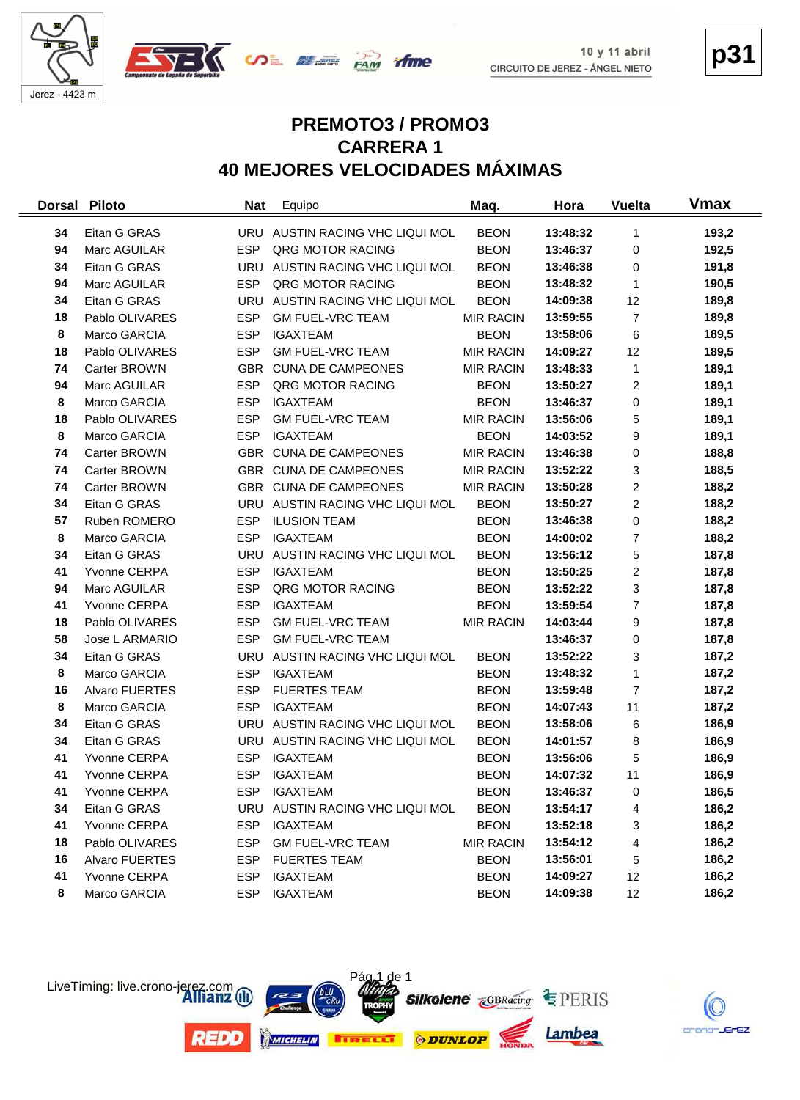



**p31**

#### **PREMOTO3 / PROMO3 CARRERA 1 40 MEJORES VELOCIDADES MÁXIMAS**

| <b>Dorsal</b> | <b>Piloto</b>  | <b>Nat</b> | Equipo                          | Maq.             | Hora     | <b>Vuelta</b>  | Vmax  |
|---------------|----------------|------------|---------------------------------|------------------|----------|----------------|-------|
| 34            | Eitan G GRAS   |            | URU AUSTIN RACING VHC LIQUI MOL | <b>BEON</b>      | 13:48:32 | 1              | 193,2 |
| 94            | Marc AGUILAR   | <b>ESP</b> | QRG MOTOR RACING                | <b>BEON</b>      | 13:46:37 | 0              | 192,5 |
| 34            | Eitan G GRAS   |            | URU AUSTIN RACING VHC LIQUI MOL | <b>BEON</b>      | 13:46:38 | 0              | 191,8 |
| 94            | Marc AGUILAR   | <b>ESP</b> | QRG MOTOR RACING                | <b>BEON</b>      | 13:48:32 | 1              | 190,5 |
| 34            | Eitan G GRAS   | <b>URU</b> | AUSTIN RACING VHC LIQUI MOL     | <b>BEON</b>      | 14:09:38 | 12             | 189,8 |
| 18            | Pablo OLIVARES | <b>ESP</b> | <b>GM FUEL-VRC TEAM</b>         | <b>MIR RACIN</b> | 13:59:55 | $\overline{7}$ | 189,8 |
| 8             | Marco GARCIA   | <b>ESP</b> | <b>IGAXTEAM</b>                 | <b>BEON</b>      | 13:58:06 | 6              | 189,5 |
| 18            | Pablo OLIVARES | <b>ESP</b> | <b>GM FUEL-VRC TEAM</b>         | <b>MIR RACIN</b> | 14:09:27 | 12             | 189,5 |
| 74            | Carter BROWN   |            | GBR CUNA DE CAMPEONES           | <b>MIR RACIN</b> | 13:48:33 | 1              | 189,1 |
| 94            | Marc AGUILAR   | <b>ESP</b> | QRG MOTOR RACING                | <b>BEON</b>      | 13:50:27 | $\overline{c}$ | 189,1 |
| 8             | Marco GARCIA   | <b>ESP</b> | <b>IGAXTEAM</b>                 | <b>BEON</b>      | 13:46:37 | 0              | 189,1 |
| 18            | Pablo OLIVARES | <b>ESP</b> | <b>GM FUEL-VRC TEAM</b>         | <b>MIR RACIN</b> | 13:56:06 | 5              | 189,1 |
| 8             | Marco GARCIA   | <b>ESP</b> | <b>IGAXTEAM</b>                 | <b>BEON</b>      | 14:03:52 | 9              | 189,1 |
| 74            | Carter BROWN   |            | GBR CUNA DE CAMPEONES           | <b>MIR RACIN</b> | 13:46:38 | 0              | 188,8 |
| 74            | Carter BROWN   |            | GBR CUNA DE CAMPEONES           | <b>MIR RACIN</b> | 13:52:22 | 3              | 188,5 |
| 74            | Carter BROWN   |            | GBR CUNA DE CAMPEONES           | <b>MIR RACIN</b> | 13:50:28 | $\overline{c}$ | 188,2 |
| 34            | Eitan G GRAS   |            | URU AUSTIN RACING VHC LIQUI MOL | <b>BEON</b>      | 13:50:27 | $\overline{c}$ | 188,2 |
| 57            | Ruben ROMERO   | <b>ESP</b> | <b>ILUSION TEAM</b>             | <b>BEON</b>      | 13:46:38 | 0              | 188,2 |
| 8             | Marco GARCIA   | <b>ESP</b> | <b>IGAXTEAM</b>                 | <b>BEON</b>      | 14:00:02 | $\overline{7}$ | 188,2 |
| 34            | Eitan G GRAS   | URU        | AUSTIN RACING VHC LIQUI MOL     | <b>BEON</b>      | 13:56:12 | 5              | 187,8 |
| 41            | Yvonne CERPA   | <b>ESP</b> | <b>IGAXTEAM</b>                 | <b>BEON</b>      | 13:50:25 | $\overline{c}$ | 187,8 |
| 94            | Marc AGUILAR   | <b>ESP</b> | QRG MOTOR RACING                | <b>BEON</b>      | 13:52:22 | 3              | 187,8 |
| 41            | Yvonne CERPA   | <b>ESP</b> | <b>IGAXTEAM</b>                 | <b>BEON</b>      | 13:59:54 | $\overline{7}$ | 187,8 |
| 18            | Pablo OLIVARES | <b>ESP</b> | <b>GM FUEL-VRC TEAM</b>         | <b>MIR RACIN</b> | 14:03:44 | 9              | 187,8 |
| 58            | Jose L ARMARIO | <b>ESP</b> | <b>GM FUEL-VRC TEAM</b>         |                  | 13:46:37 | 0              | 187,8 |
| 34            | Eitan G GRAS   | URU        | AUSTIN RACING VHC LIQUI MOL     | <b>BEON</b>      | 13:52:22 | 3              | 187,2 |
| 8             | Marco GARCIA   | <b>ESP</b> | <b>IGAXTEAM</b>                 | <b>BEON</b>      | 13:48:32 | 1              | 187,2 |
| 16            | Alvaro FUERTES | <b>ESP</b> | <b>FUERTES TEAM</b>             | <b>BEON</b>      | 13:59:48 | 7              | 187,2 |
| 8             | Marco GARCIA   | <b>ESP</b> | <b>IGAXTEAM</b>                 | <b>BEON</b>      | 14:07:43 | 11             | 187,2 |
| 34            | Eitan G GRAS   | <b>URU</b> | AUSTIN RACING VHC LIQUI MOL     | <b>BEON</b>      | 13:58:06 | 6              | 186,9 |
| 34            | Eitan G GRAS   |            | URU AUSTIN RACING VHC LIQUI MOL | <b>BEON</b>      | 14:01:57 | 8              | 186,9 |
| 41            | Yvonne CERPA   | <b>ESP</b> | <b>IGAXTEAM</b>                 | <b>BEON</b>      | 13:56:06 | 5              | 186,9 |
| 41            | Yvonne CERPA   | <b>ESP</b> | <b>IGAXTEAM</b>                 | <b>BEON</b>      | 14:07:32 | 11             | 186,9 |
| 41            | Yvonne CERPA   | ESP.       | <b>IGAXTEAM</b>                 | <b>BEON</b>      | 13:46:37 | 0              | 186,5 |
| 34            | Eitan G GRAS   | URU        | AUSTIN RACING VHC LIQUI MOL     | <b>BEON</b>      | 13:54:17 | 4              | 186,2 |
| 41            | Yvonne CERPA   | <b>ESP</b> | <b>IGAXTEAM</b>                 | <b>BEON</b>      | 13:52:18 | 3              | 186,2 |
| 18            | Pablo OLIVARES | <b>ESP</b> | <b>GM FUEL-VRC TEAM</b>         | <b>MIR RACIN</b> | 13:54:12 | 4              | 186,2 |
| 16            | Alvaro FUERTES | <b>ESP</b> | <b>FUERTES TEAM</b>             | <b>BEON</b>      | 13:56:01 | 5              | 186,2 |
| 41            | Yvonne CERPA   | <b>ESP</b> | <b>IGAXTEAM</b>                 | <b>BEON</b>      | 14:09:27 | 12             | 186,2 |
| 8             | Marco GARCIA   | <b>ESP</b> | <b>IGAXTEAM</b>                 | <b>BEON</b>      | 14:09:38 | 12             | 186,2 |



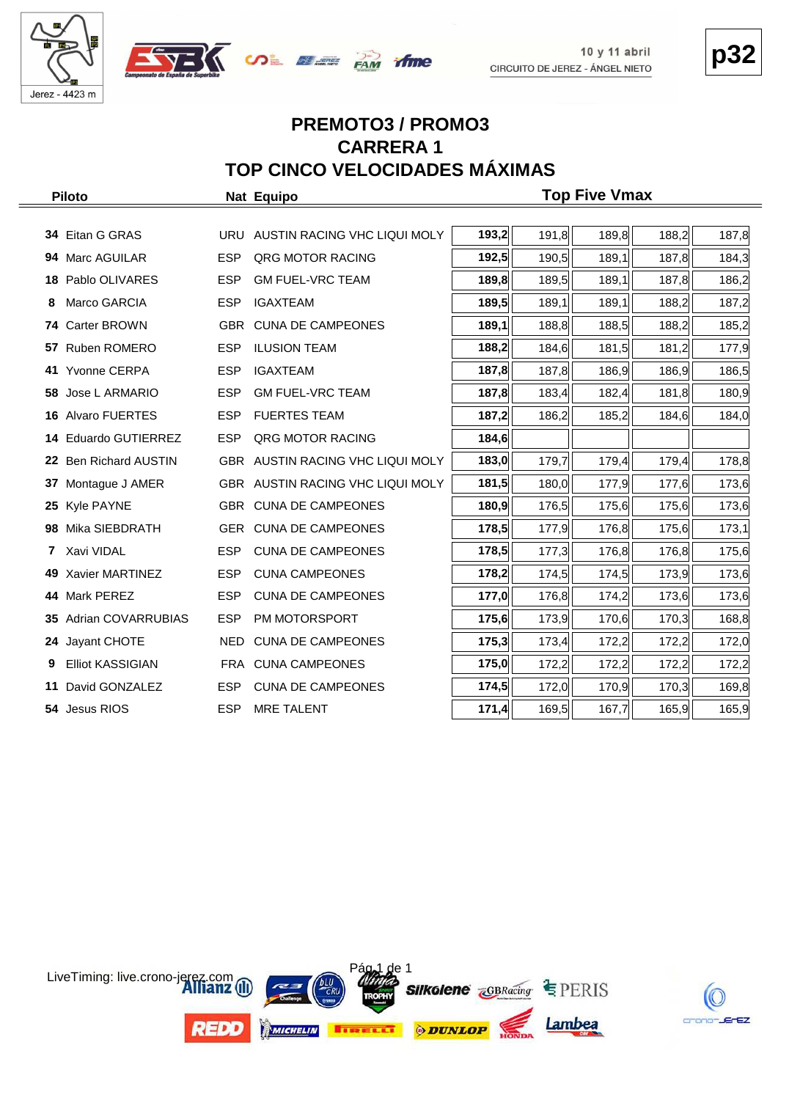





#### **PREMOTO3 / PROMO3 CARRERA 1 TOP CINCO VELOCIDADES MÁXIMAS**

|     | <b>Piloto</b>             |            | Nat Equipo                       | <b>Top Five Vmax</b> |       |       |       |       |  |  |  |  |  |  |  |
|-----|---------------------------|------------|----------------------------------|----------------------|-------|-------|-------|-------|--|--|--|--|--|--|--|
|     |                           |            |                                  |                      |       |       |       |       |  |  |  |  |  |  |  |
|     | 34 Eitan G GRAS           | URU        | AUSTIN RACING VHC LIQUI MOLY     | 193,2                | 191,8 | 189,8 | 188,2 | 187,8 |  |  |  |  |  |  |  |
| 94  | Marc AGUILAR              | <b>ESP</b> | QRG MOTOR RACING                 | 192,5                | 190,5 | 189,1 | 187,8 | 184,3 |  |  |  |  |  |  |  |
|     | 18 Pablo OLIVARES         | <b>ESP</b> | <b>GM FUEL-VRC TEAM</b>          | 189,8                | 189,5 | 189,1 | 187,8 | 186,2 |  |  |  |  |  |  |  |
| 8   | Marco GARCIA              | <b>ESP</b> | <b>IGAXTEAM</b>                  | 189,5                | 189,1 | 189,1 | 188,2 | 187,2 |  |  |  |  |  |  |  |
|     | 74 Carter BROWN           |            | GBR CUNA DE CAMPEONES            | 189,1                | 188,8 | 188,5 | 188,2 | 185,2 |  |  |  |  |  |  |  |
| 57  | Ruben ROMERO              | <b>ESP</b> | <b>ILUSION TEAM</b>              | 188,2                | 184,6 | 181,5 | 181,2 | 177,9 |  |  |  |  |  |  |  |
| 41  | Yvonne CERPA              | <b>ESP</b> | <b>IGAXTEAM</b>                  | 187,8                | 187,8 | 186,9 | 186,9 | 186,5 |  |  |  |  |  |  |  |
| 58  | Jose L ARMARIO            | <b>ESP</b> | <b>GM FUEL-VRC TEAM</b>          | 187,8                | 183,4 | 182,4 | 181,8 | 180,9 |  |  |  |  |  |  |  |
|     | 16 Alvaro FUERTES         | <b>ESP</b> | <b>FUERTES TEAM</b>              | 187,2                | 186,2 | 185,2 | 184,6 | 184,0 |  |  |  |  |  |  |  |
|     | 14 Eduardo GUTIERREZ      | <b>ESP</b> | QRG MOTOR RACING                 | 184,6                |       |       |       |       |  |  |  |  |  |  |  |
| 22. | <b>Ben Richard AUSTIN</b> |            | GBR AUSTIN RACING VHC LIQUI MOLY | 183,0                | 179,7 | 179,4 | 179,4 | 178,8 |  |  |  |  |  |  |  |
| 37  | Montague J AMER           |            | GBR AUSTIN RACING VHC LIQUI MOLY | 181,5                | 180,0 | 177,9 | 177,6 | 173,6 |  |  |  |  |  |  |  |
| 25  | Kyle PAYNE                |            | GBR CUNA DE CAMPEONES            | 180,9                | 176,5 | 175,6 | 175,6 | 173,6 |  |  |  |  |  |  |  |
| 98  | Mika SIEBDRATH            | GER        | <b>CUNA DE CAMPEONES</b>         | 178,5                | 177,9 | 176,8 | 175,6 | 173,1 |  |  |  |  |  |  |  |
| 7   | Xavi VIDAL                | <b>ESP</b> | <b>CUNA DE CAMPEONES</b>         | 178,5                | 177,3 | 176,8 | 176,8 | 175,6 |  |  |  |  |  |  |  |
| 49. | Xavier MARTINEZ           | <b>ESP</b> | <b>CUNA CAMPEONES</b>            | 178,2                | 174,5 | 174,5 | 173,9 | 173,6 |  |  |  |  |  |  |  |
|     | 44 Mark PEREZ             | <b>ESP</b> | <b>CUNA DE CAMPEONES</b>         | 177,0                | 176,8 | 174,2 | 173,6 | 173,6 |  |  |  |  |  |  |  |
|     | 35 Adrian COVARRUBIAS     | <b>ESP</b> | PM MOTORSPORT                    | 175,6                | 173,9 | 170,6 | 170,3 | 168,8 |  |  |  |  |  |  |  |
| 24  | Jayant CHOTE              | NED        | <b>CUNA DE CAMPEONES</b>         | 175,3                | 173,4 | 172,2 | 172,2 | 172,0 |  |  |  |  |  |  |  |
| 9   | <b>Elliot KASSIGIAN</b>   |            | FRA CUNA CAMPEONES               | 175,0                | 172,2 | 172,2 | 172,2 | 172,2 |  |  |  |  |  |  |  |
| 11  | David GONZALEZ            | <b>ESP</b> | <b>CUNA DE CAMPEONES</b>         | 174,5                | 172,0 | 170,9 | 170,3 | 169,8 |  |  |  |  |  |  |  |
|     | 54 Jesus RIOS             | <b>ESP</b> | <b>MRE TALENT</b>                | 171,4                | 169,5 | 167,7 | 165,9 | 165,9 |  |  |  |  |  |  |  |